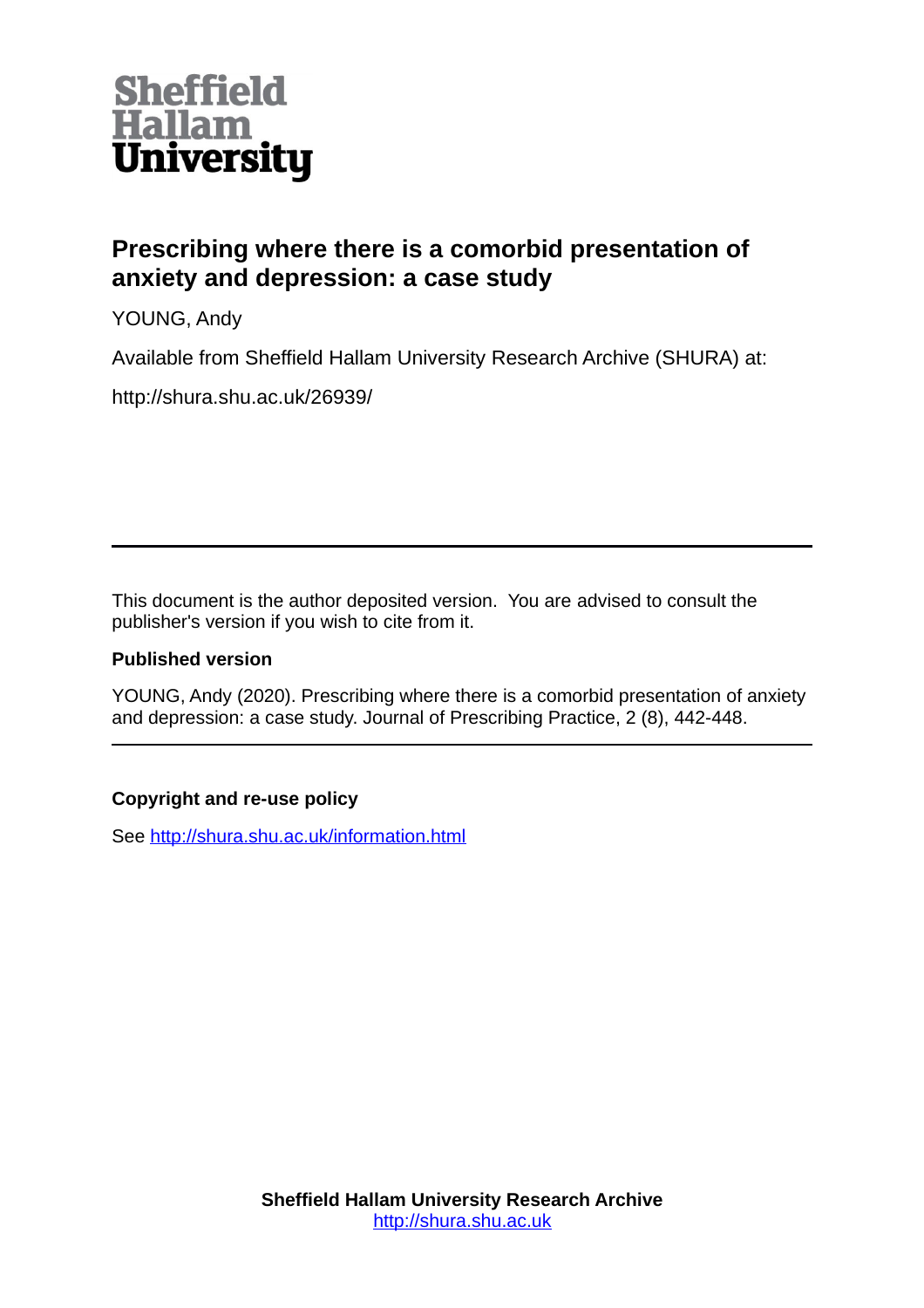

# **Prescribing where there is a comorbid presentation of anxiety and depression: a case study**

YOUNG, Andy

Available from Sheffield Hallam University Research Archive (SHURA) at:

http://shura.shu.ac.uk/26939/

This document is the author deposited version. You are advised to consult the publisher's version if you wish to cite from it.

## **Published version**

YOUNG, Andy (2020). Prescribing where there is a comorbid presentation of anxiety and depression: a case study. Journal of Prescribing Practice, 2 (8), 442-448.

## **Copyright and re-use policy**

See<http://shura.shu.ac.uk/information.html>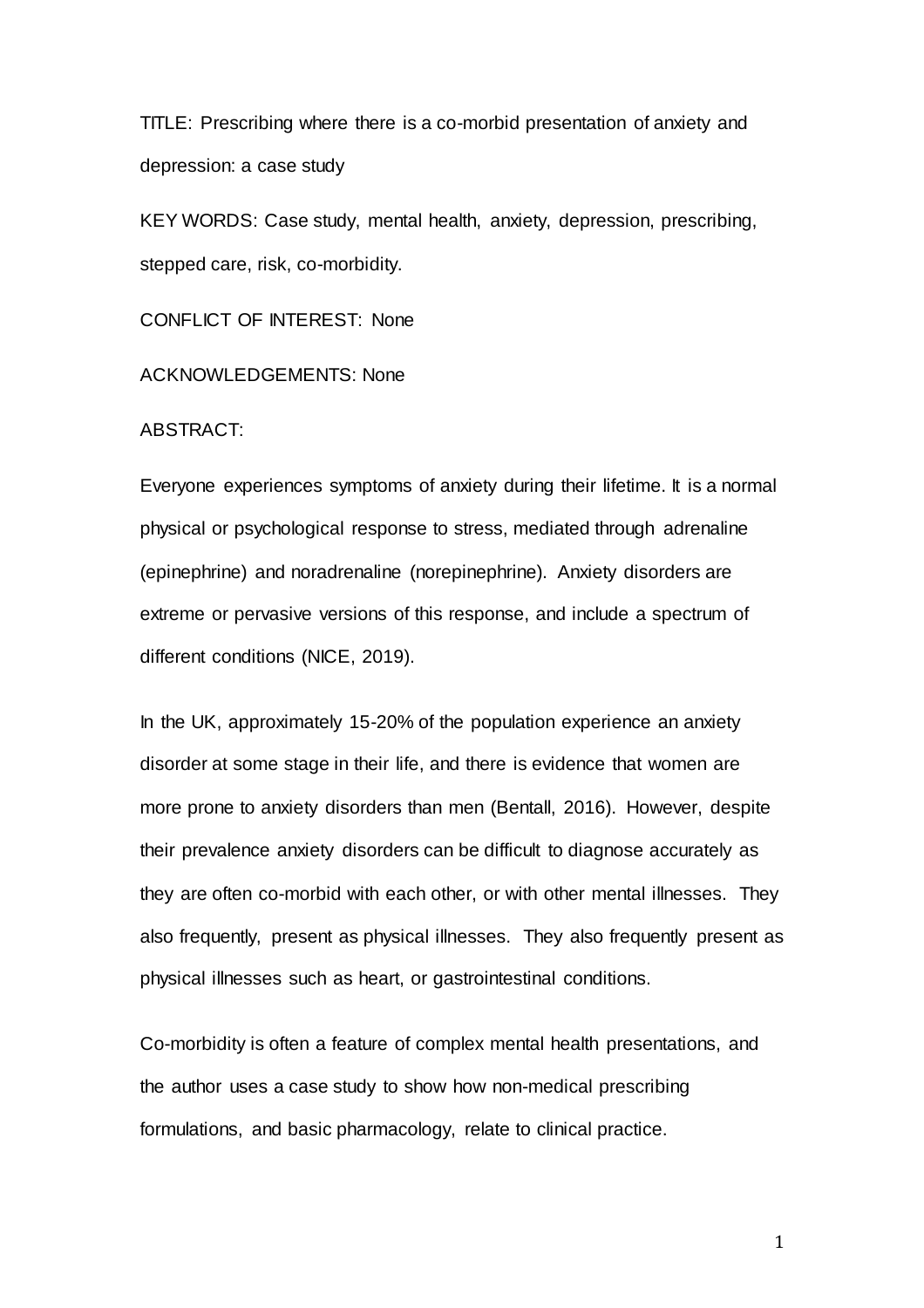TITLE: Prescribing where there is a co-morbid presentation of anxiety and depression: a case study

KEY WORDS: Case study, mental health, anxiety, depression, prescribing, stepped care, risk, co-morbidity.

CONFLICT OF INTEREST: None

ACKNOWLEDGEMENTS: None

ABSTRACT:

Everyone experiences symptoms of anxiety during their lifetime. It is a normal physical or psychological response to stress, mediated through adrenaline (epinephrine) and noradrenaline (norepinephrine). Anxiety disorders are extreme or pervasive versions of this response, and include a spectrum of different conditions (NICE, 2019).

In the UK, approximately 15-20% of the population experience an anxiety disorder at some stage in their life, and there is evidence that women are more prone to anxiety disorders than men (Bentall, 2016). However, despite their prevalence anxiety disorders can be difficult to diagnose accurately as they are often co-morbid with each other, or with other mental illnesses. They also frequently, present as physical illnesses. They also frequently present as physical illnesses such as heart, or gastrointestinal conditions.

Co-morbidity is often a feature of complex mental health presentations, and the author uses a case study to show how non-medical prescribing formulations, and basic pharmacology, relate to clinical practice.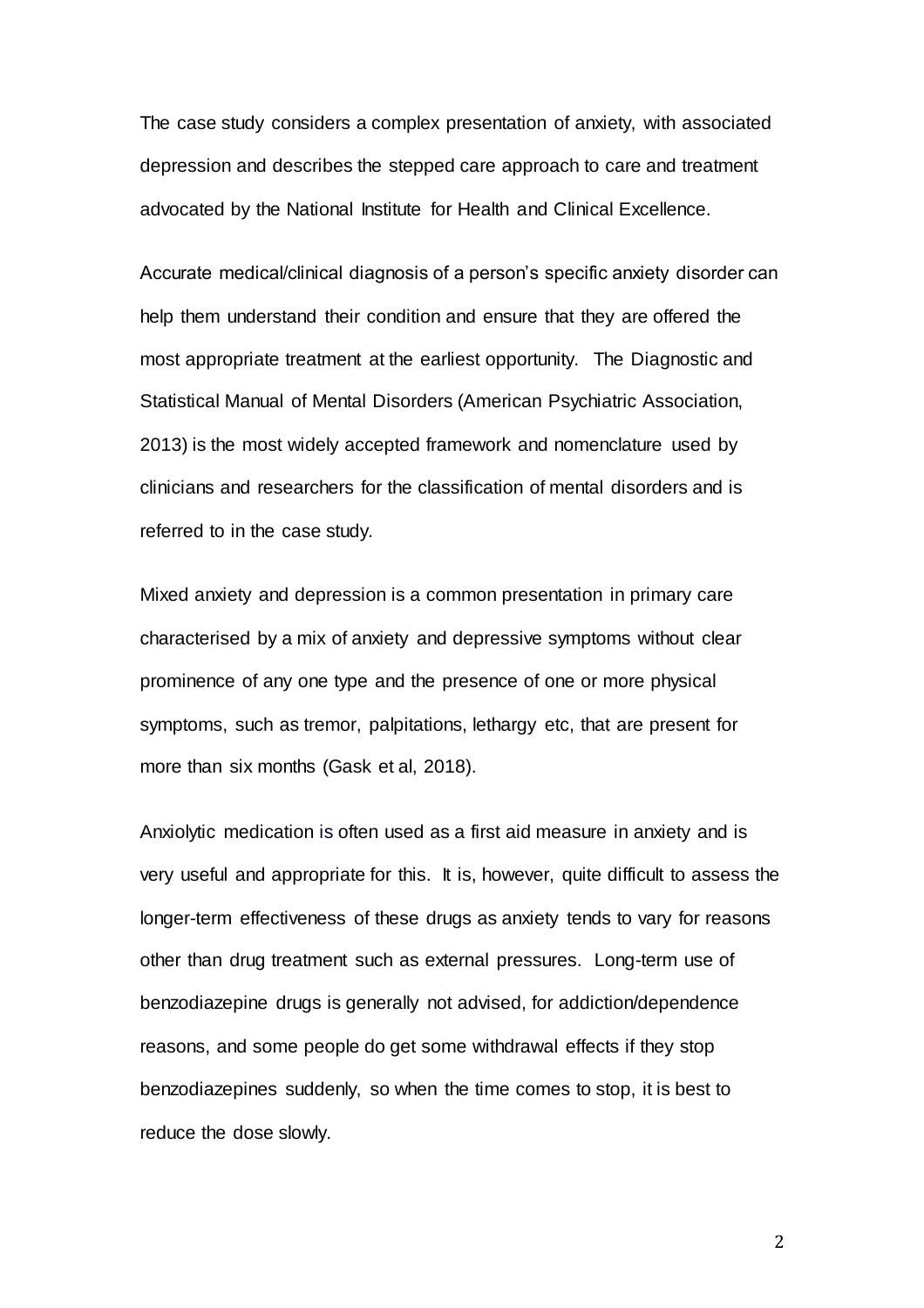The case study considers a complex presentation of anxiety, with associated depression and describes the stepped care approach to care and treatment advocated by the National Institute for Health and Clinical Excellence.

Accurate medical/clinical diagnosis of a person's specific anxiety disorder can help them understand their condition and ensure that they are offered the most appropriate treatment at the earliest opportunity. The Diagnostic and Statistical Manual of Mental Disorders (American Psychiatric Association, 2013) is the most widely accepted framework and nomenclature used by clinicians and researchers for the classification of mental disorders and is referred to in the case study.

Mixed anxiety and depression is a common presentation in primary care characterised by a mix of anxiety and depressive symptoms without clear prominence of any one type and the presence of one or more physical symptoms, such as tremor, palpitations, lethargy etc, that are present for more than six months (Gask et al, 2018).

Anxiolytic medication is often used as a first aid measure in anxiety and is very useful and appropriate for this. It is, however, quite difficult to assess the longer-term effectiveness of these drugs as anxiety tends to vary for reasons other than drug treatment such as external pressures. Long-term use of benzodiazepine drugs is generally not advised, for addiction/dependence reasons, and some people do get some withdrawal effects if they stop benzodiazepines suddenly, so when the time comes to stop, it is best to reduce the dose slowly.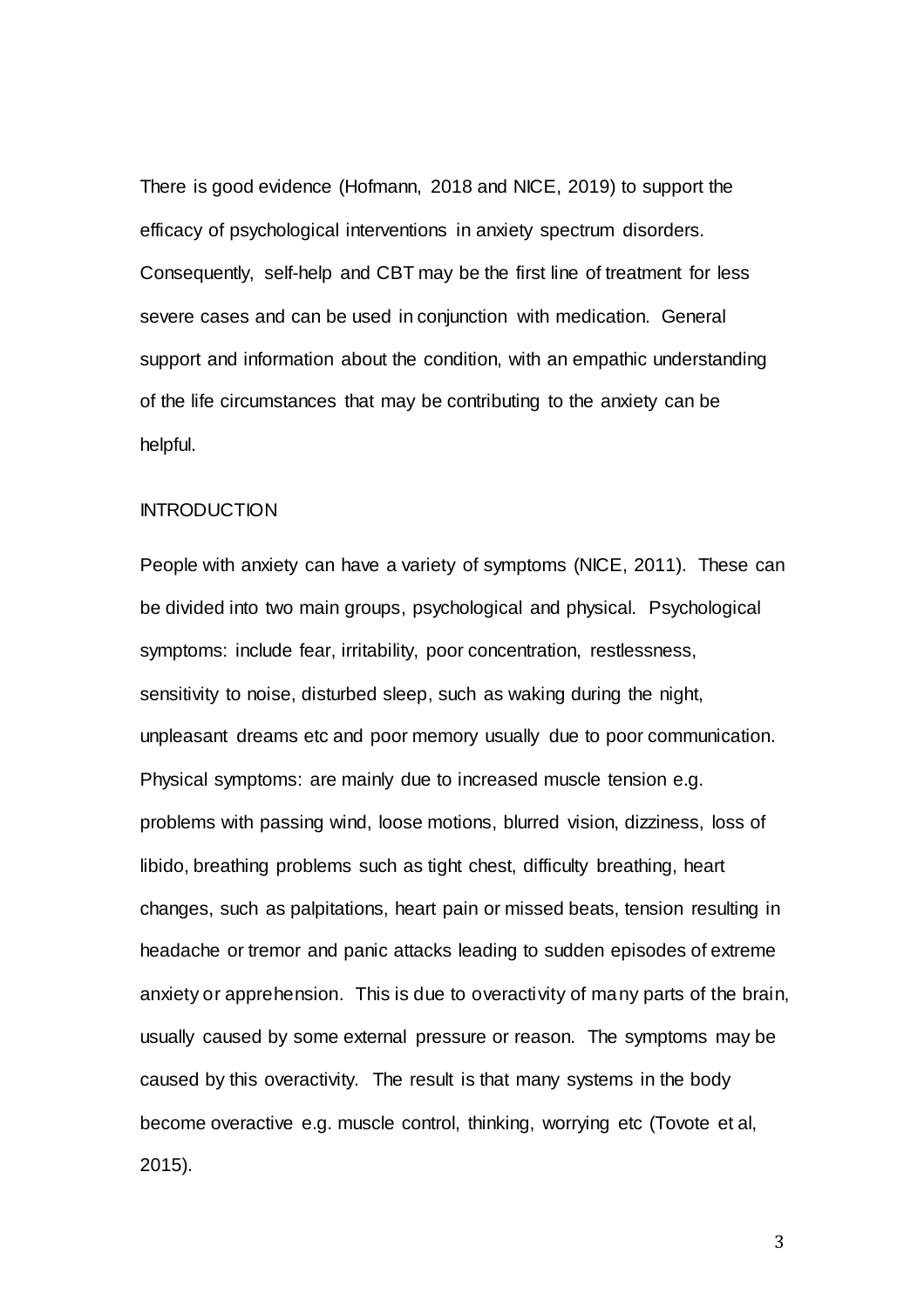There is good evidence (Hofmann, 2018 and NICE, 2019) to support the efficacy of psychological interventions in anxiety spectrum disorders. Consequently, self-help and CBT may be the first line of treatment for less severe cases and can be used in conjunction with medication. General support and information about the condition, with an empathic understanding of the life circumstances that may be contributing to the anxiety can be helpful.

#### **INTRODUCTION**

People with anxiety can have a variety of symptoms (NICE, 2011). These can be divided into two main groups, psychological and physical. Psychological symptoms: include fear, irritability, poor concentration, restlessness, sensitivity to noise, disturbed sleep, such as waking during the night, unpleasant dreams etc and poor memory usually due to poor communication. Physical symptoms: are mainly due to increased muscle tension e.g. problems with passing wind, loose motions, blurred vision, dizziness, loss of libido, breathing problems such as tight chest, difficulty breathing, heart changes, such as palpitations, heart pain or missed beats, tension resulting in headache or tremor and panic attacks leading to sudden episodes of extreme anxiety or apprehension. This is due to overactivity of many parts of the brain, usually caused by some external pressure or reason. The symptoms may be caused by this overactivity. The result is that many systems in the body become overactive e.g. muscle control, thinking, worrying etc (Tovote et al, 2015).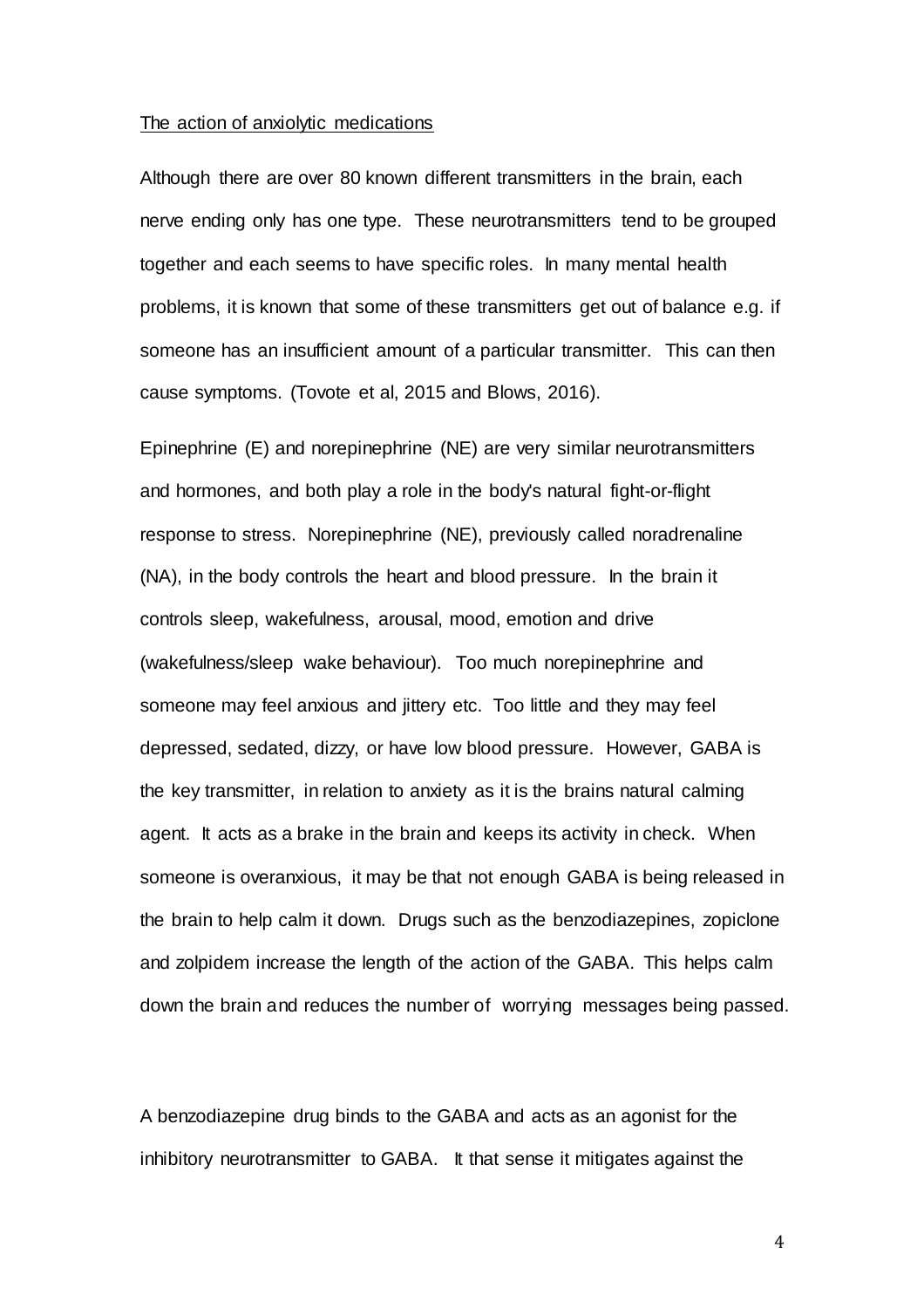#### The action of anxiolytic medications

Although there are over 80 known different transmitters in the brain, each nerve ending only has one type. These neurotransmitters tend to be grouped together and each seems to have specific roles. In many mental health problems, it is known that some of these transmitters get out of balance e.g. if someone has an insufficient amount of a particular transmitter. This can then cause symptoms. (Tovote et al, 2015 and Blows, 2016).

Epinephrine (E) and norepinephrine (NE) are very similar neurotransmitters and hormones, and both play a role in the body's natural fight-or-flight response to stress. Norepinephrine (NE), previously called noradrenaline (NA), in the body controls the heart and blood pressure. In the brain it controls sleep, wakefulness, arousal, mood, emotion and drive (wakefulness/sleep wake behaviour). Too much norepinephrine and someone may feel anxious and jittery etc. Too little and they may feel depressed, sedated, dizzy, or have low blood pressure. However, GABA is the key transmitter, in relation to anxiety as it is the brains natural calming agent. It acts as a brake in the brain and keeps its activity in check. When someone is overanxious, it may be that not enough GABA is being released in the brain to help calm it down. Drugs such as the benzodiazepines, zopiclone and zolpidem increase the length of the action of the GABA. This helps calm down the brain and reduces the number of worrying messages being passed.

A benzodiazepine drug binds to the GABA and acts as an agonist for the inhibitory neurotransmitter to GABA. It that sense it mitigates against the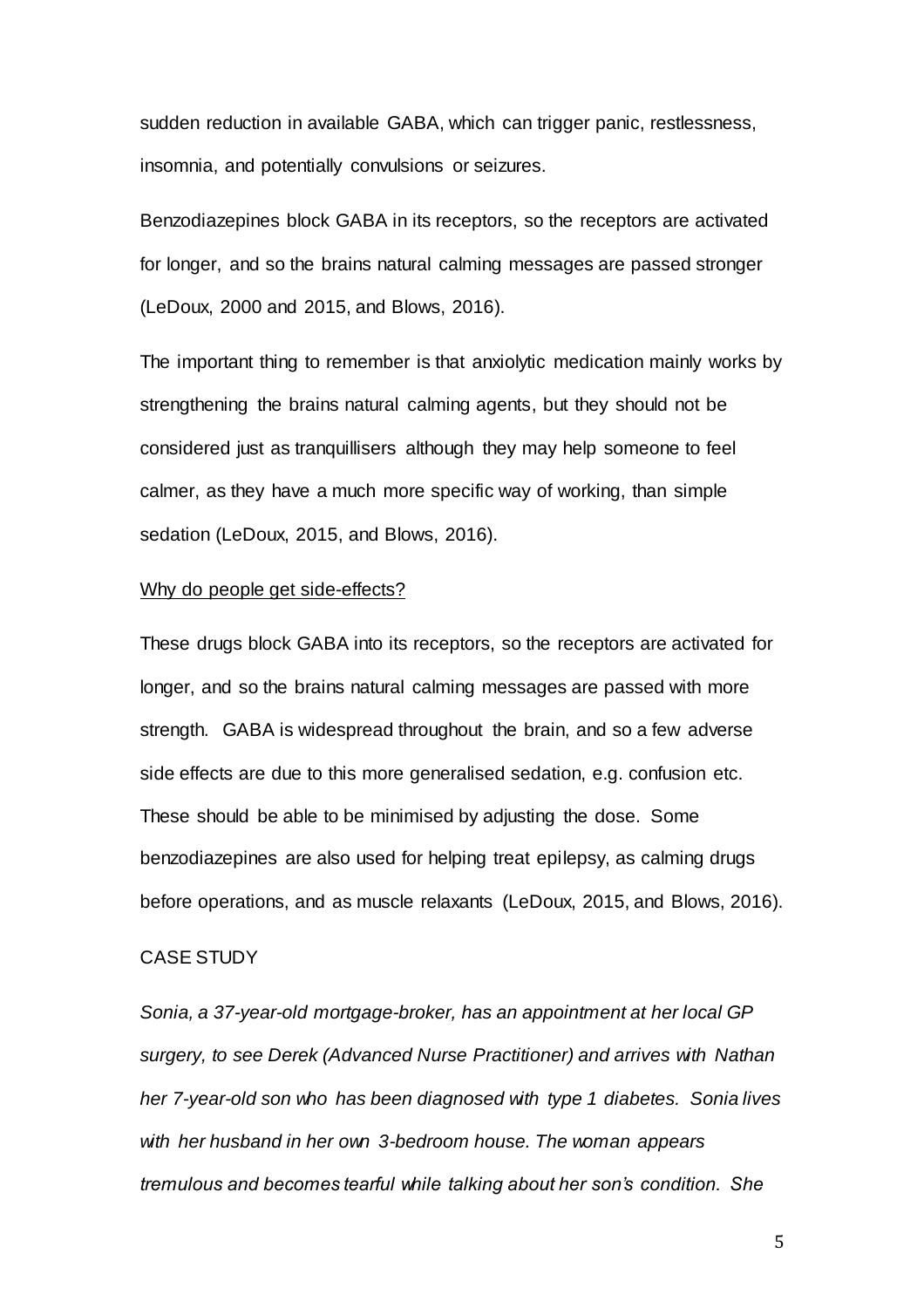sudden reduction in available GABA, which can trigger panic, restlessness, insomnia, and potentially convulsions or seizures.

Benzodiazepines block GABA in its receptors, so the receptors are activated for longer, and so the brains natural calming messages are passed stronger (LeDoux, 2000 and 2015, and Blows, 2016).

The important thing to remember is that anxiolytic medication mainly works by strengthening the brains natural calming agents, but they should not be considered just as tranquillisers although they may help someone to feel calmer, as they have a much more specific way of working, than simple sedation (LeDoux, 2015, and Blows, 2016).

#### Why do people get side-effects?

These drugs block GABA into its receptors, so the receptors are activated for longer, and so the brains natural calming messages are passed with more strength. GABA is widespread throughout the brain, and so a few adverse side effects are due to this more generalised sedation, e.g. confusion etc. These should be able to be minimised by adjusting the dose. Some benzodiazepines are also used for helping treat epilepsy, as calming drugs before operations, and as muscle relaxants (LeDoux, 2015, and Blows, 2016).

#### CASE STUDY

*Sonia, a 37-year-old mortgage-broker, has an appointment at her local GP surgery, to see Derek (Advanced Nurse Practitioner) and arrives with Nathan her 7-year-old son who has been diagnosed with type 1 diabetes. Sonia lives with her husband in her own 3-bedroom house. The woman appears tremulous and becomes tearful while talking about her son's condition. She*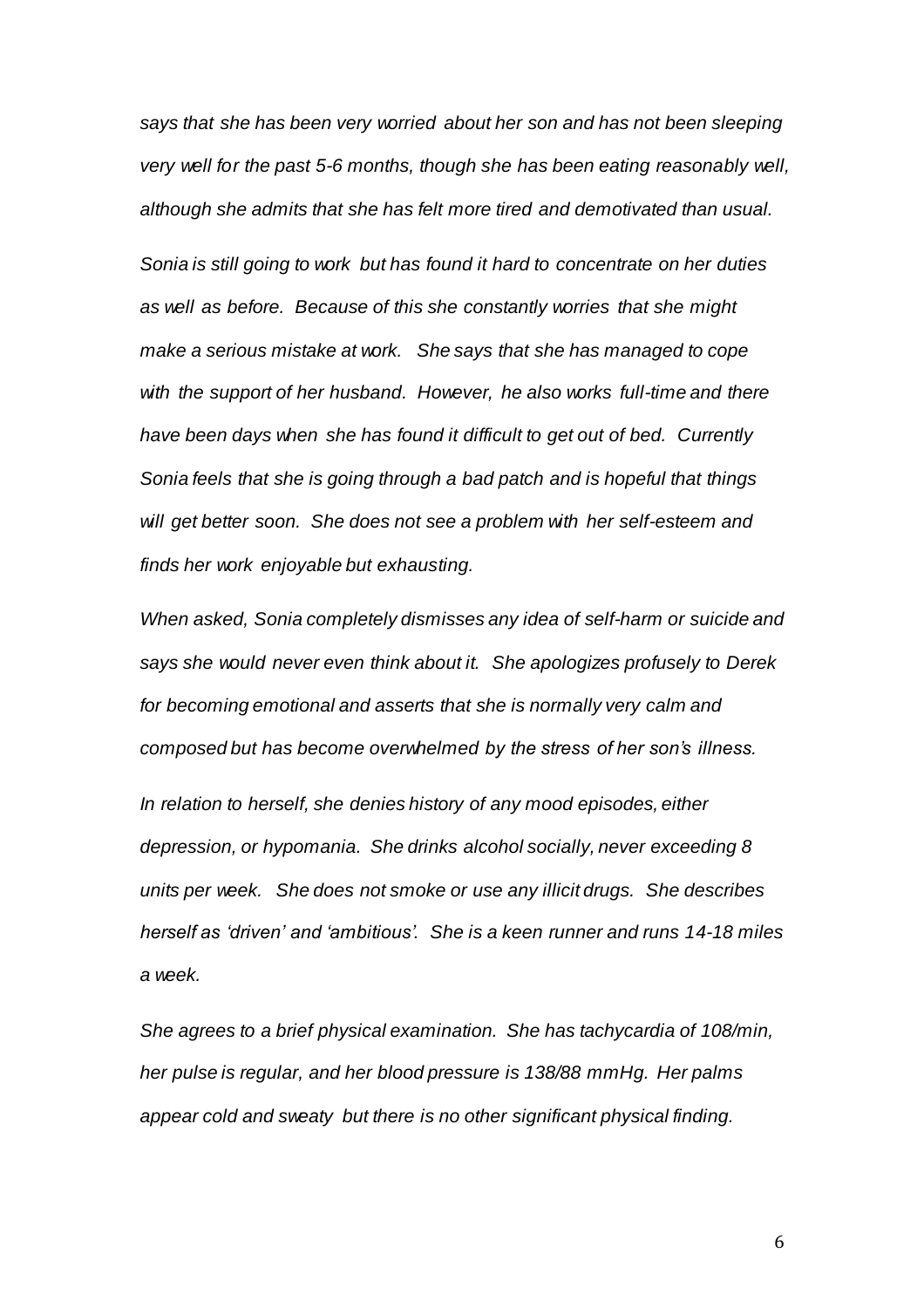*says that she has been very worried about her son and has not been sleeping very well for the past 5-6 months, though she has been eating reasonably well, although she admits that she has felt more tired and demotivated than usual. Sonia is still going to work but has found it hard to concentrate on her duties as well as before. Because of this she constantly worries that she might make a serious mistake at work. She says that she has managed to cope with the support of her husband. However, he also works full-time and there have been days when she has found it difficult to get out of bed. Currently Sonia feels that she is going through a bad patch and is hopeful that things will get better soon. She does not see a problem with her self-esteem and finds her work enjoyable but exhausting.*

*When asked, Sonia completely dismisses any idea of self-harm or suicide and says she would never even think about it. She apologizes profusely to Derek for becoming emotional and asserts that she is normally very calm and composed but has become overwhelmed by the stress of her son's illness.* 

*In relation to herself, she denies history of any mood episodes, either depression, or hypomania. She drinks alcohol socially, never exceeding 8 units per week. She does not smoke or use any illicit drugs. She describes herself as 'driven' and 'ambitious'. She is a keen runner and runs 14-18 miles a week.*

*She agrees to a brief physical examination. She has tachycardia of 108/min, her pulse is regular, and her blood pressure is 138/88 mmHg. Her palms appear cold and sweaty but there is no other significant physical finding.*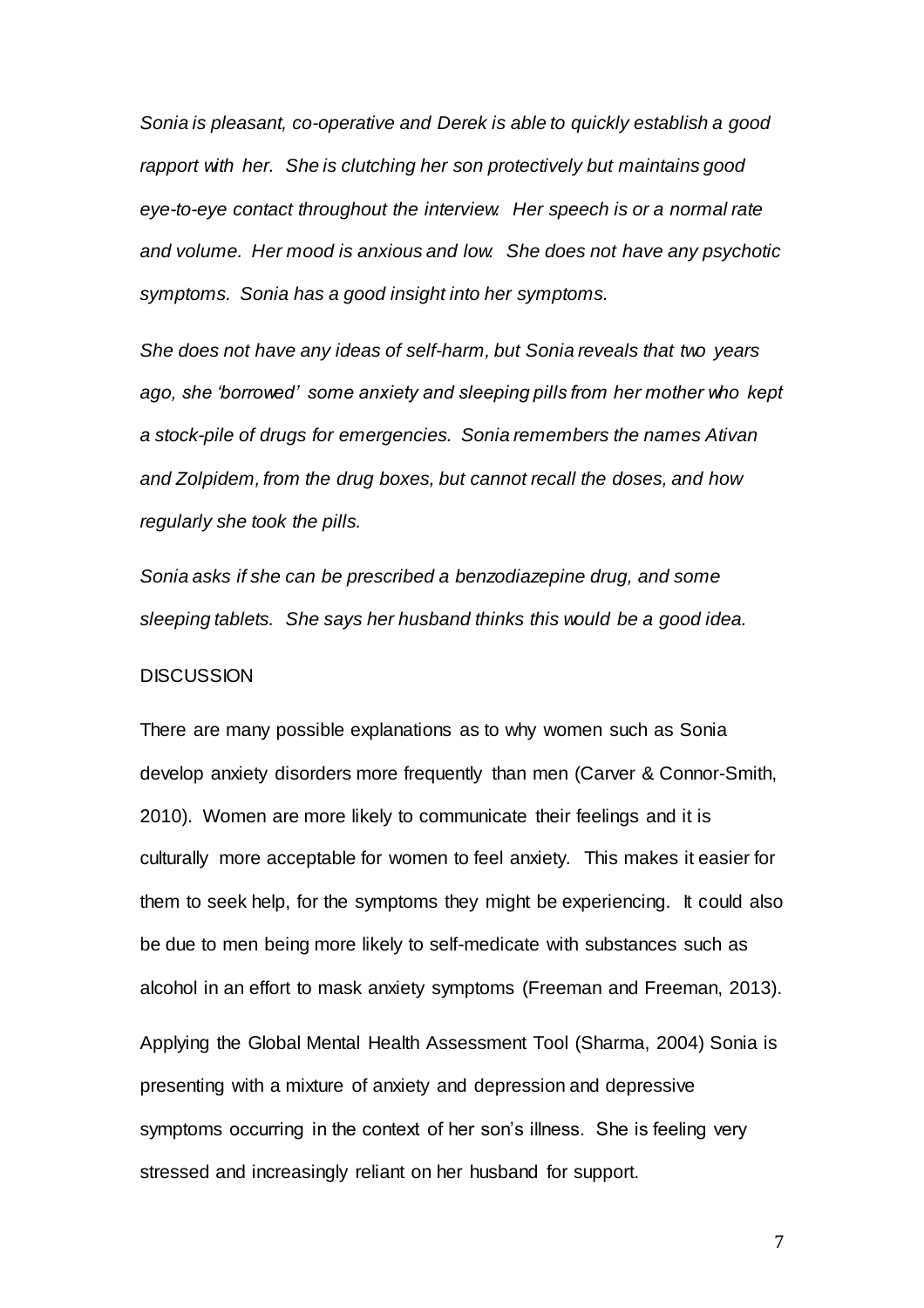*Sonia is pleasant, co-operative and Derek is able to quickly establish a good rapport with her. She is clutching her son protectively but maintains good eye-to-eye contact throughout the interview. Her speech is or a normal rate and volume. Her mood is anxious and low. She does not have any psychotic symptoms. Sonia has a good insight into her symptoms.* 

*She does not have any ideas of self-harm, but Sonia reveals that two years ago, she 'borrowed' some anxiety and sleeping pills from her mother who kept a stock-pile of drugs for emergencies. Sonia remembers the names Ativan and Zolpidem, from the drug boxes, but cannot recall the doses, and how regularly she took the pills.* 

*Sonia asks if she can be prescribed a benzodiazepine drug, and some sleeping tablets. She says her husband thinks this would be a good idea.* 

#### **DISCUSSION**

There are many possible explanations as to why women such as Sonia develop anxiety disorders more frequently than men (Carver & Connor-Smith, 2010). Women are more likely to communicate their feelings and it is culturally more acceptable for women to feel anxiety. This makes it easier for them to seek help, for the symptoms they might be experiencing. It could also be due to men being more likely to self-medicate with substances such as alcohol in an effort to mask anxiety symptoms (Freeman and Freeman, 2013). Applying the Global Mental Health Assessment Tool (Sharma, 2004) Sonia is presenting with a mixture of anxiety and depression and depressive

symptoms occurring in the context of her son's illness. She is feeling very stressed and increasingly reliant on her husband for support.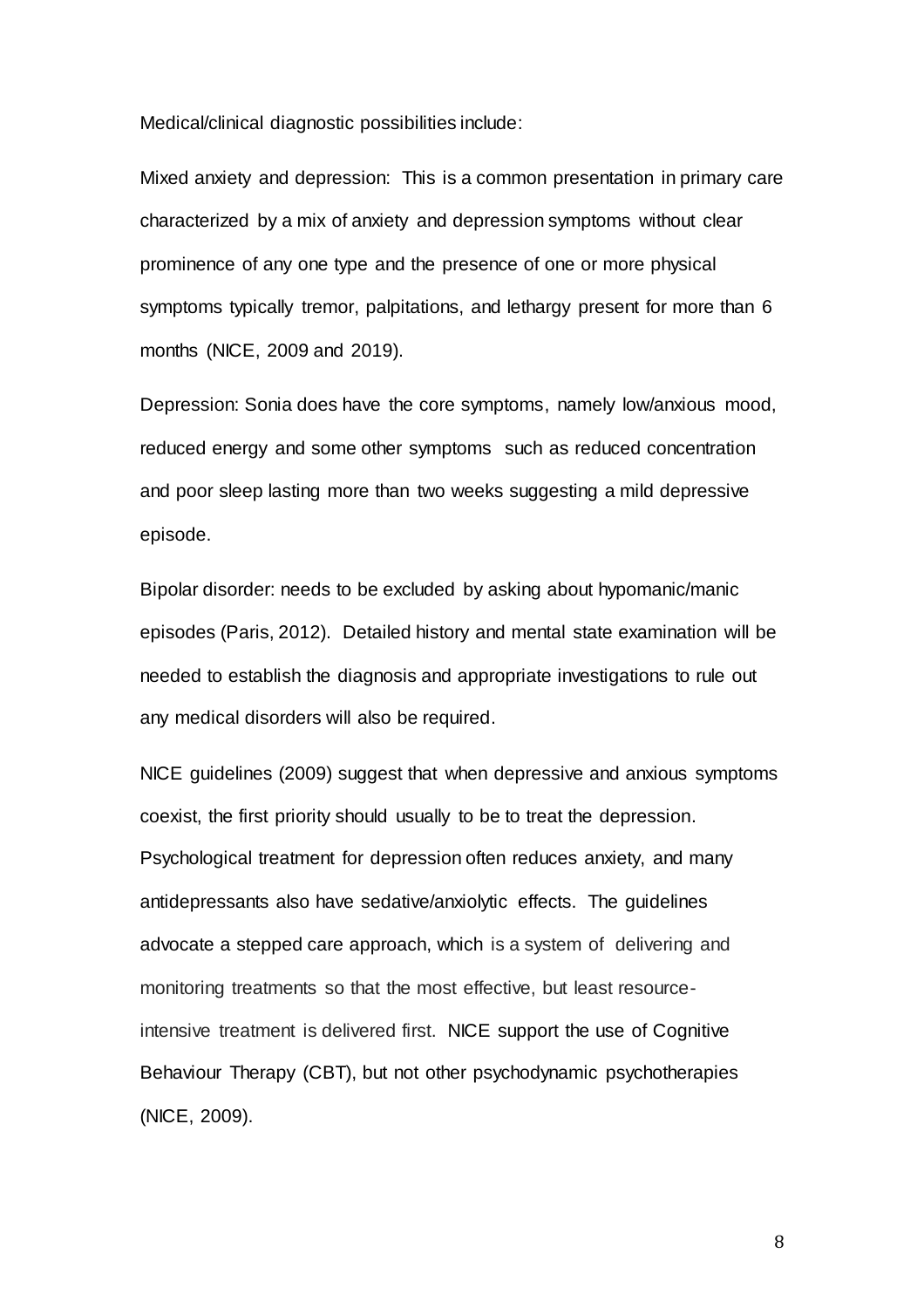Medical/clinical diagnostic possibilities include:

Mixed anxiety and depression: This is a common presentation in primary care characterized by a mix of anxiety and depression symptoms without clear prominence of any one type and the presence of one or more physical symptoms typically tremor, palpitations, and lethargy present for more than 6 months (NICE, 2009 and 2019).

Depression: Sonia does have the core symptoms, namely low/anxious mood, reduced energy and some other symptoms such as reduced concentration and poor sleep lasting more than two weeks suggesting a mild depressive episode.

Bipolar disorder: needs to be excluded by asking about hypomanic/manic episodes (Paris, 2012). Detailed history and mental state examination will be needed to establish the diagnosis and appropriate investigations to rule out any medical disorders will also be required.

NICE guidelines (2009) suggest that when depressive and anxious symptoms coexist, the first priority should usually to be to treat the depression. Psychological treatment for depression often reduces anxiety, and many antidepressants also have sedative/anxiolytic effects. The guidelines advocate a stepped care approach, which is a system of delivering and monitoring treatments so that the most effective, but least resourceintensive treatment is delivered first. NICE support the use of Cognitive Behaviour Therapy (CBT), but not other psychodynamic psychotherapies (NICE, 2009).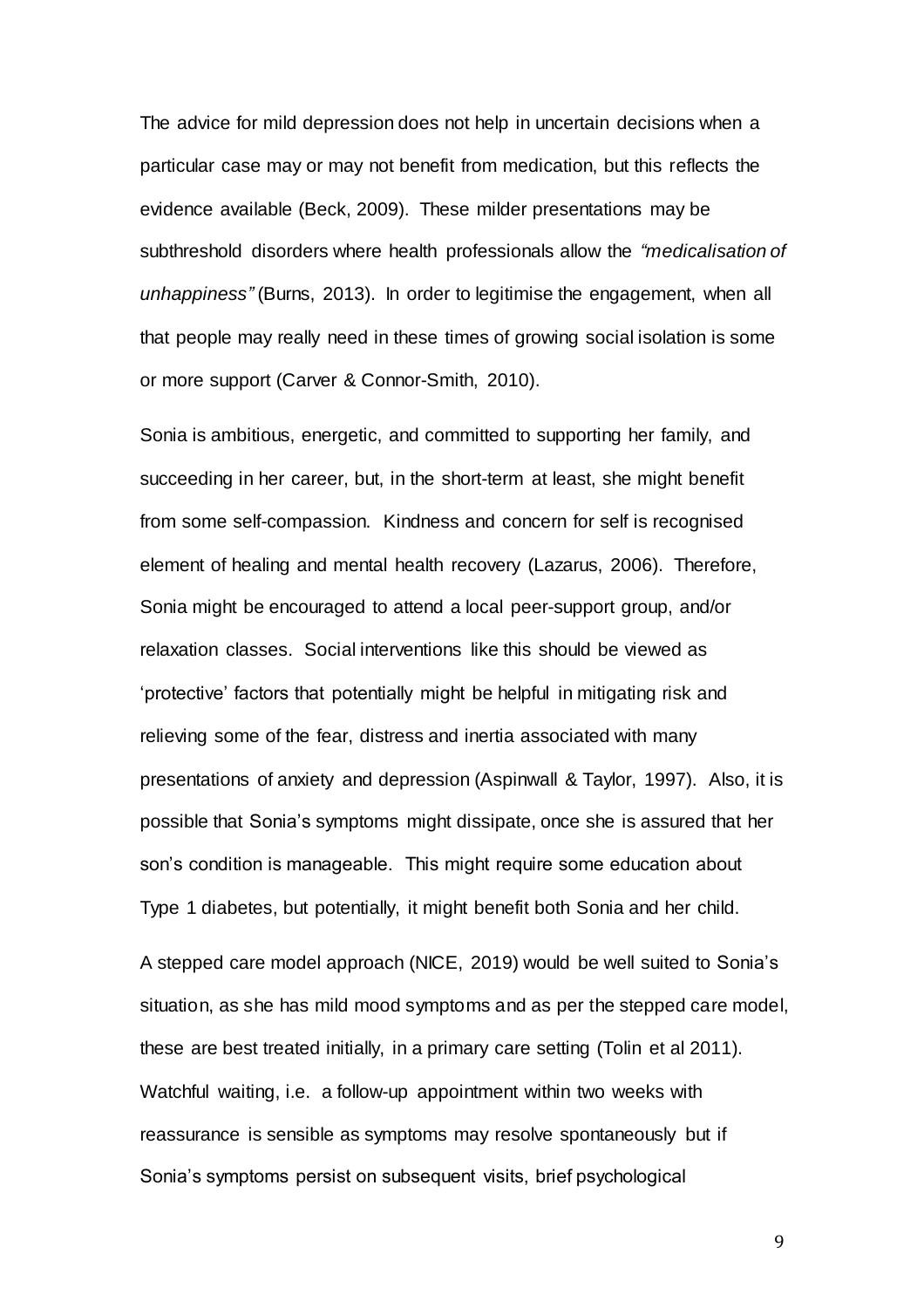The advice for mild depression does not help in uncertain decisions when a particular case may or may not benefit from medication, but this reflects the evidence available (Beck, 2009). These milder presentations may be subthreshold disorders where health professionals allow the *"medicalisation of unhappiness"* (Burns, 2013). In order to legitimise the engagement, when all that people may really need in these times of growing social isolation is some or more support (Carver & Connor-Smith, 2010).

Sonia is ambitious, energetic, and committed to supporting her family, and succeeding in her career, but, in the short-term at least, she might benefit from some self-compassion. Kindness and concern for self is recognised element of healing and mental health recovery (Lazarus, 2006). Therefore, Sonia might be encouraged to attend a local peer-support group, and/or relaxation classes. Social interventions like this should be viewed as 'protective' factors that potentially might be helpful in mitigating risk and relieving some of the fear, distress and inertia associated with many presentations of anxiety and depression (Aspinwall & Taylor, 1997). Also, it is possible that Sonia's symptoms might dissipate, once she is assured that her son's condition is manageable. This might require some education about Type 1 diabetes, but potentially, it might benefit both Sonia and her child.

A stepped care model approach (NICE, 2019) would be well suited to Sonia's situation, as she has mild mood symptoms and as per the stepped care model, these are best treated initially, in a primary care setting (Tolin et al 2011). Watchful waiting, i.e. a follow-up appointment within two weeks with reassurance is sensible as symptoms may resolve spontaneously but if Sonia's symptoms persist on subsequent visits, brief psychological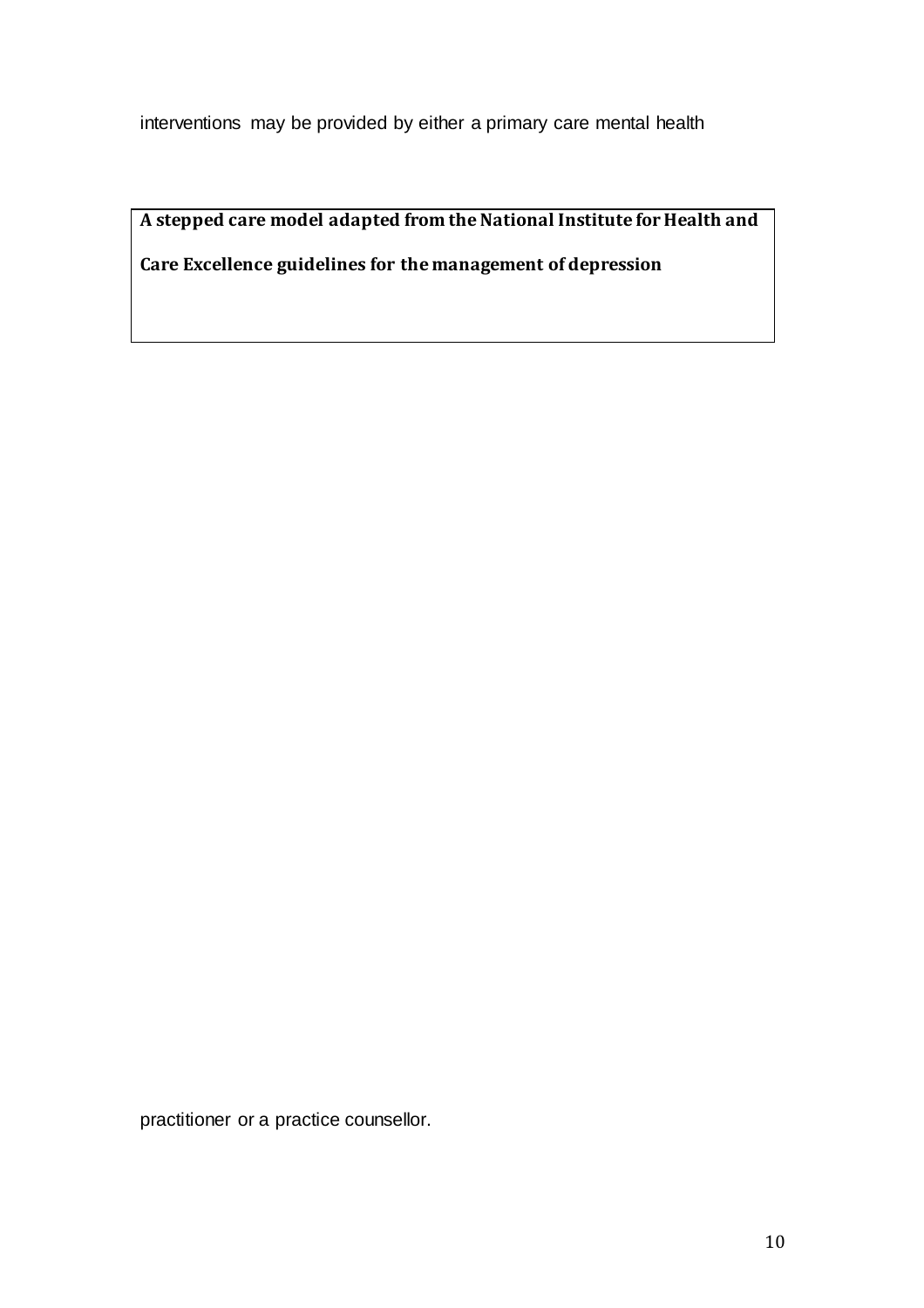interventions may be provided by either a primary care mental health

**A stepped care model adapted from the National Institute for Health and Care Excellence guidelines for the management of depression**

practitioner or a practice counsellor.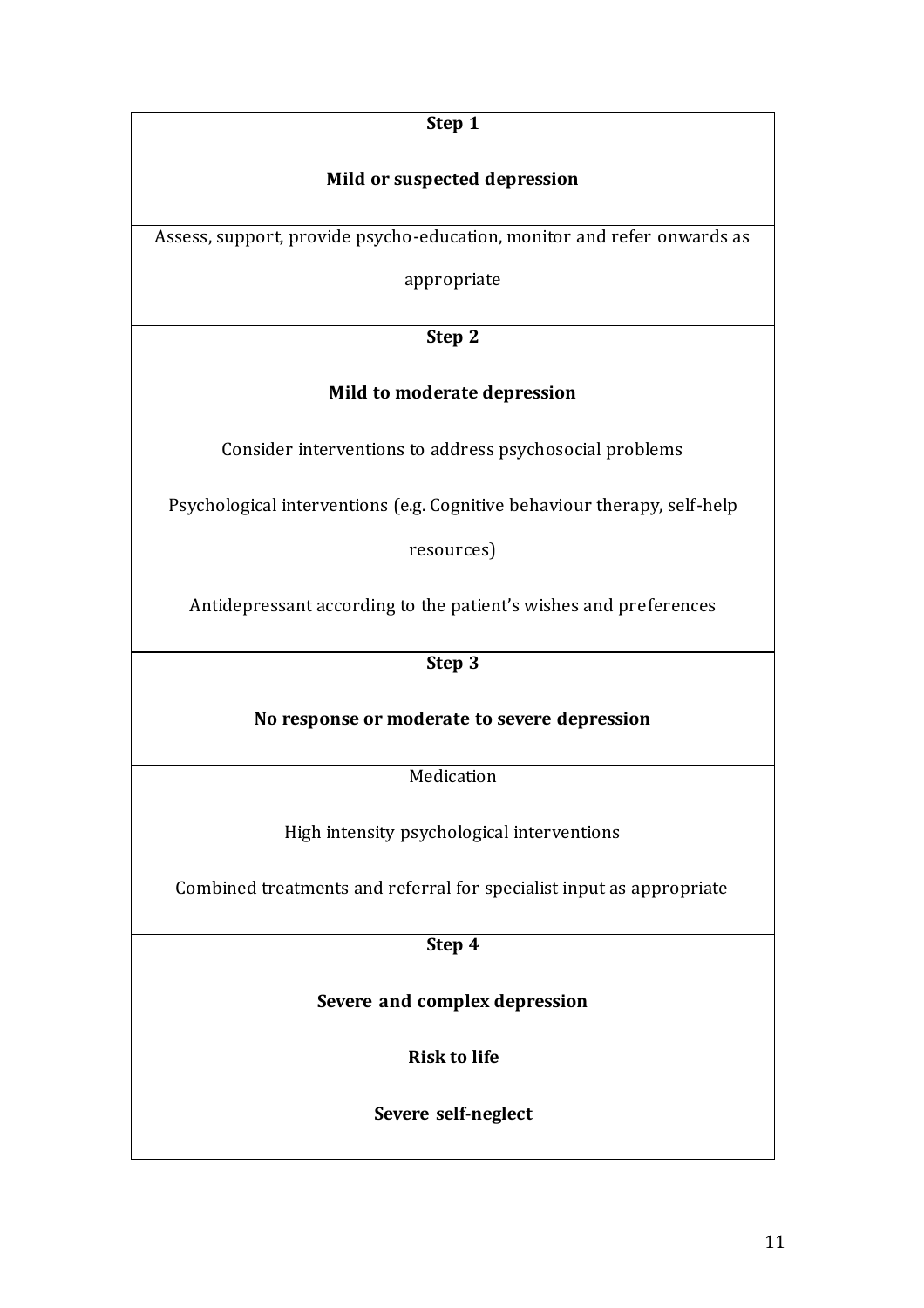**Step 1**

## **Mild or suspected depression**

Assess, support, provide psycho-education, monitor and refer onwards as

appropriate

**Step 2**

## **Mild to moderate depression**

Consider interventions to address psychosocial problems

Psychological interventions (e.g. Cognitive behaviour therapy, self-help

resources)

Antidepressant according to the patient's wishes and preferences

**Step 3**

**No response or moderate to severe depression**

**Medication** 

High intensity psychological interventions

Combined treatments and referral for specialist input as appropriate

**Step 4**

**Severe and complex depression**

**Risk to life**

**Severe self-neglect**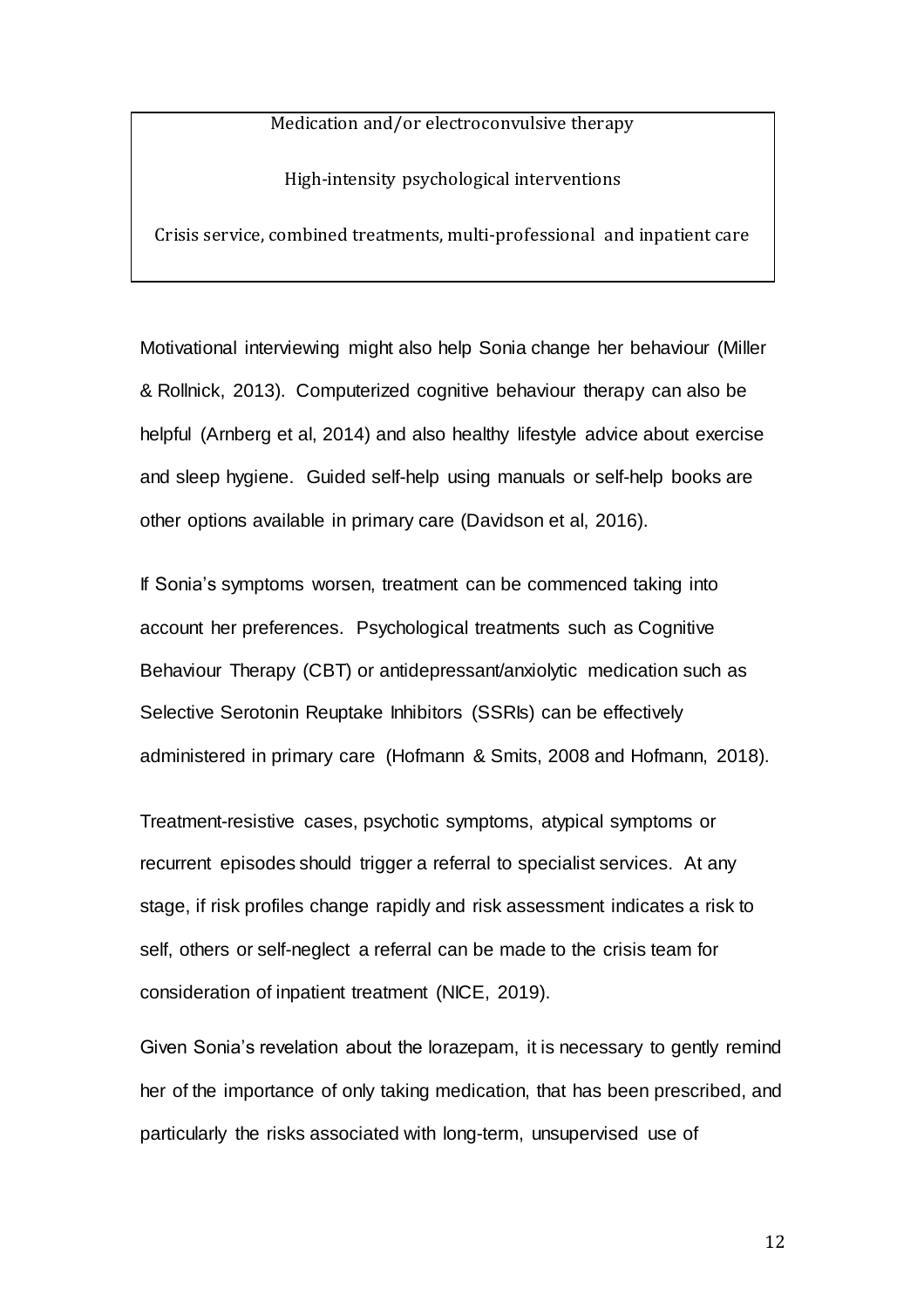### Medication and/or electroconvulsive therapy

High-intensity psychological interventions

Crisis service, combined treatments, multi-professional and inpatient care

Motivational interviewing might also help Sonia change her behaviour (Miller & Rollnick, 2013). Computerized cognitive behaviour therapy can also be helpful (Arnberg et al, 2014) and also healthy lifestyle advice about exercise and sleep hygiene. Guided self-help using manuals or self-help books are other options available in primary care (Davidson et al, 2016).

If Sonia's symptoms worsen, treatment can be commenced taking into account her preferences. Psychological treatments such as Cognitive Behaviour Therapy (CBT) or antidepressant/anxiolytic medication such as Selective Serotonin Reuptake Inhibitors (SSRIs) can be effectively administered in primary care (Hofmann & Smits, 2008 and Hofmann, 2018).

Treatment-resistive cases, psychotic symptoms, atypical symptoms or recurrent episodes should trigger a referral to specialist services. At any stage, if risk profiles change rapidly and risk assessment indicates a risk to self, others or self-neglect a referral can be made to the crisis team for consideration of inpatient treatment (NICE, 2019).

Given Sonia's revelation about the lorazepam, it is necessary to gently remind her of the importance of only taking medication, that has been prescribed, and particularly the risks associated with long-term, unsupervised use of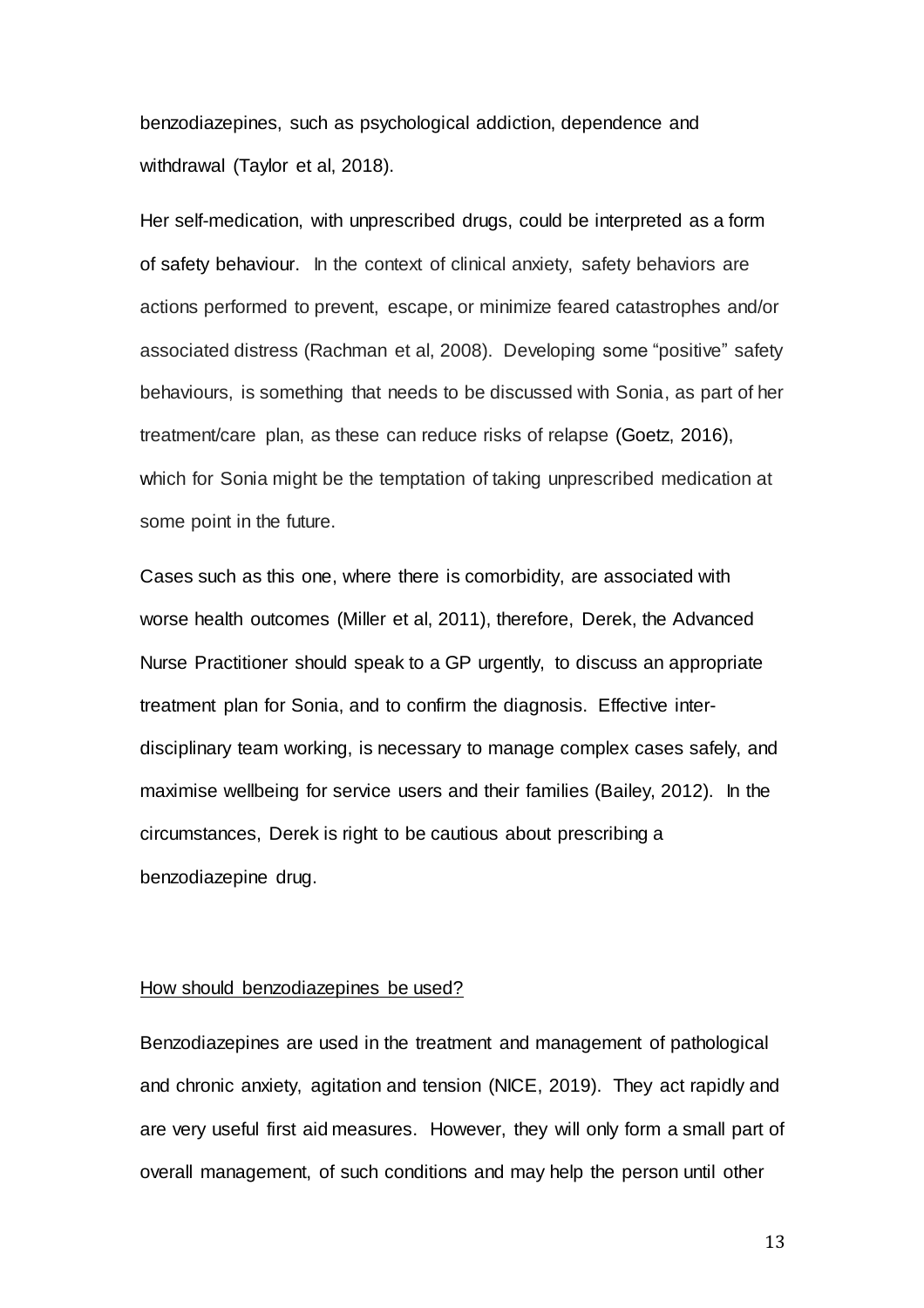benzodiazepines, such as psychological addiction, dependence and withdrawal (Taylor et al, 2018).

Her self-medication, with unprescribed drugs, could be interpreted as a form of safety behaviour. In the context of clinical anxiety, safety behaviors are actions performed to prevent, escape, or minimize feared catastrophes and/or associated distress (Rachman et al, 2008). Developing some "positive" safety behaviours, is something that needs to be discussed with Sonia, as part of her treatment/care plan, as these can reduce risks of relapse (Goetz, 2016), which for Sonia might be the temptation of taking unprescribed medication at some point in the future.

Cases such as this one, where there is comorbidity, are associated with worse health outcomes (Miller et al, 2011), therefore, Derek, the Advanced Nurse Practitioner should speak to a GP urgently, to discuss an appropriate treatment plan for Sonia, and to confirm the diagnosis. Effective interdisciplinary team working, is necessary to manage complex cases safely, and maximise wellbeing for service users and their families (Bailey, 2012). In the circumstances, Derek is right to be cautious about prescribing a benzodiazepine drug.

### How should benzodiazepines be used?

Benzodiazepines are used in the treatment and management of pathological and chronic anxiety, agitation and tension (NICE, 2019). They act rapidly and are very useful first aid measures. However, they will only form a small part of overall management, of such conditions and may help the person until other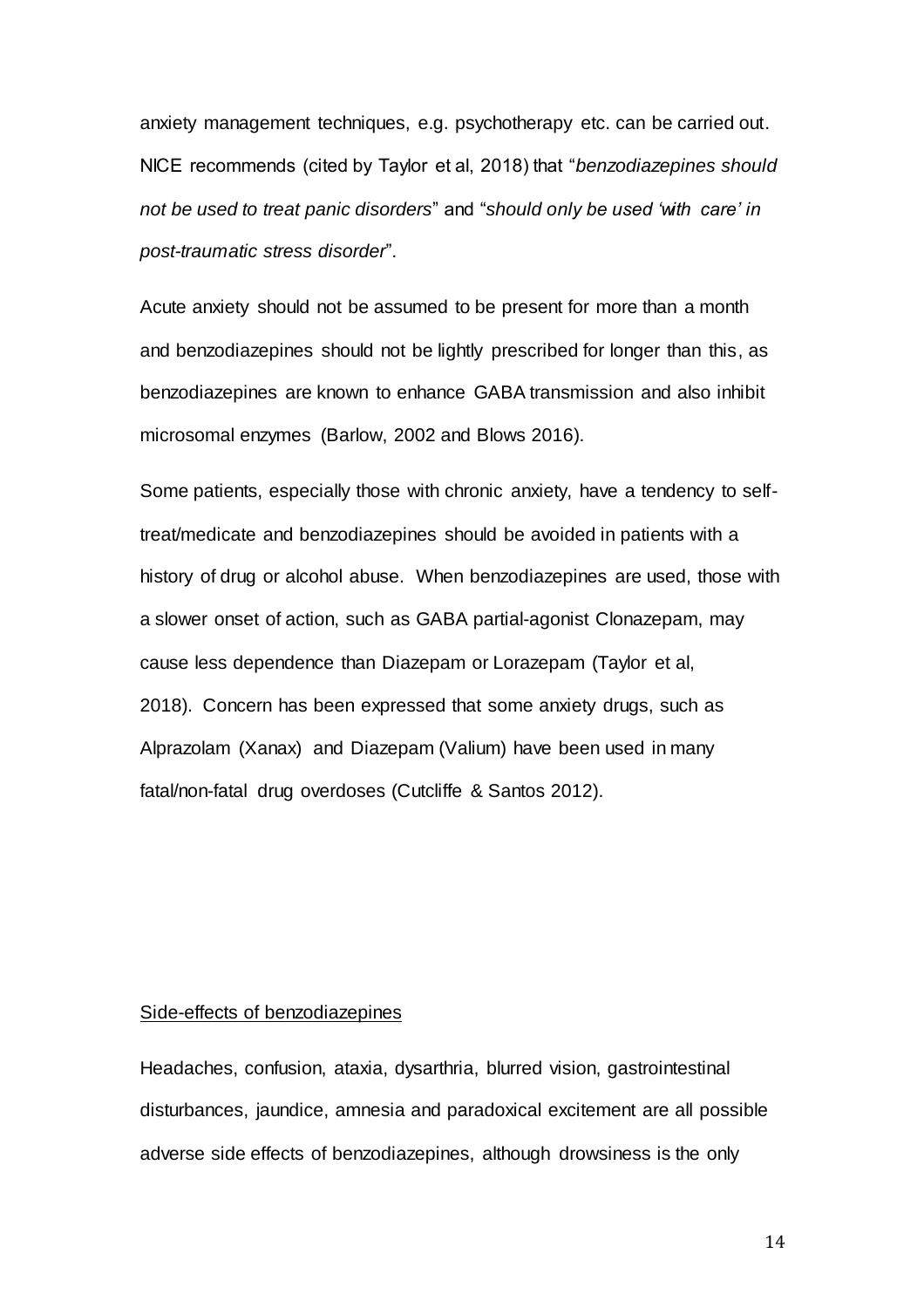anxiety management techniques, e.g. psychotherapy etc. can be carried out. NICE recommends (cited by Taylor et al, 2018) that "*benzodiazepines should not be used to treat panic disorders*" and "*should only be used 'with care' in post-traumatic stress disorder*".

Acute anxiety should not be assumed to be present for more than a month and benzodiazepines should not be lightly prescribed for longer than this, as benzodiazepines are known to enhance GABA transmission and also inhibit microsomal enzymes (Barlow, 2002 and Blows 2016).

Some patients, especially those with chronic anxiety, have a tendency to selftreat/medicate and benzodiazepines should be avoided in patients with a history of drug or alcohol abuse. When benzodiazepines are used, those with a slower onset of action, such as GABA partial-agonist Clonazepam, may cause less dependence than Diazepam or Lorazepam (Taylor et al, 2018). Concern has been expressed that some anxiety drugs, such as Alprazolam (Xanax) and Diazepam (Valium) have been used in many fatal/non-fatal drug overdoses (Cutcliffe & Santos 2012).

### Side-effects of benzodiazepines

Headaches, confusion, ataxia, dysarthria, blurred vision, gastrointestinal disturbances, jaundice, amnesia and paradoxical excitement are all possible adverse side effects of benzodiazepines, although drowsiness is the only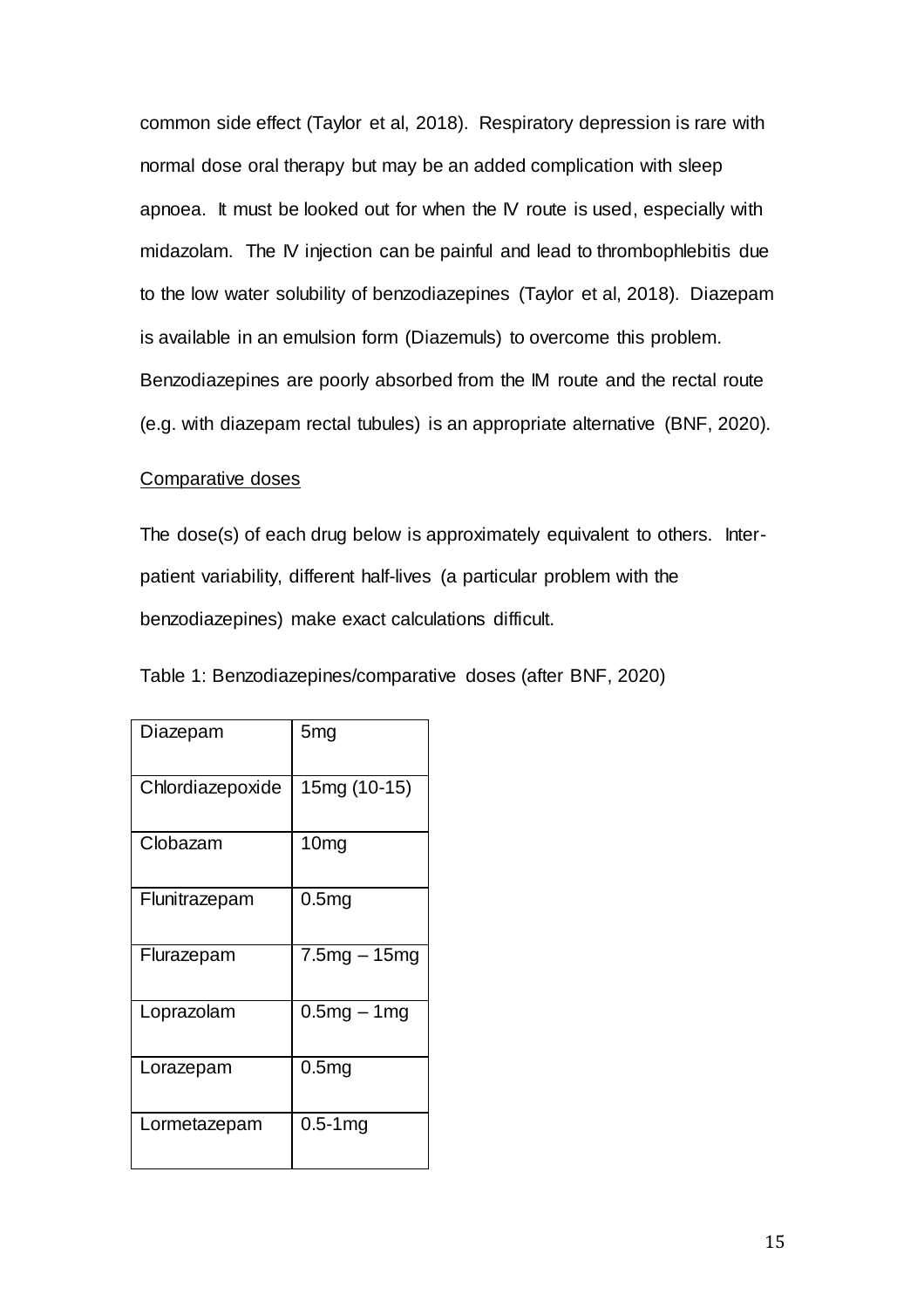common side effect (Taylor et al, 2018). Respiratory depression is rare with normal dose oral therapy but may be an added complication with sleep apnoea. It must be looked out for when the IV route is used, especially with midazolam. The IV injection can be painful and lead to thrombophlebitis due to the low water solubility of benzodiazepines (Taylor et al, 2018). Diazepam is available in an emulsion form (Diazemuls) to overcome this problem. Benzodiazepines are poorly absorbed from the IM route and the rectal route (e.g. with diazepam rectal tubules) is an appropriate alternative (BNF, 2020).

### Comparative doses

The dose(s) of each drug below is approximately equivalent to others. Interpatient variability, different half-lives (a particular problem with the benzodiazepines) make exact calculations difficult.

| Table 1: Benzodiazepines/comparative doses (after BNF, 2020) |  |  |  |
|--------------------------------------------------------------|--|--|--|
|--------------------------------------------------------------|--|--|--|

| Diazepam         | 5mg               |
|------------------|-------------------|
| Chlordiazepoxide | 15mg (10-15)      |
| Clobazam         | 10mg              |
| Flunitrazepam    | 0.5 <sub>mg</sub> |
| Flurazepam       | 7.5mg – 15mg      |
| Loprazolam       | $0.5mg - 1mg$     |
| Lorazepam        | 0.5 <sub>mg</sub> |
| Lormetazepam     | $0.5 - 1$ mg      |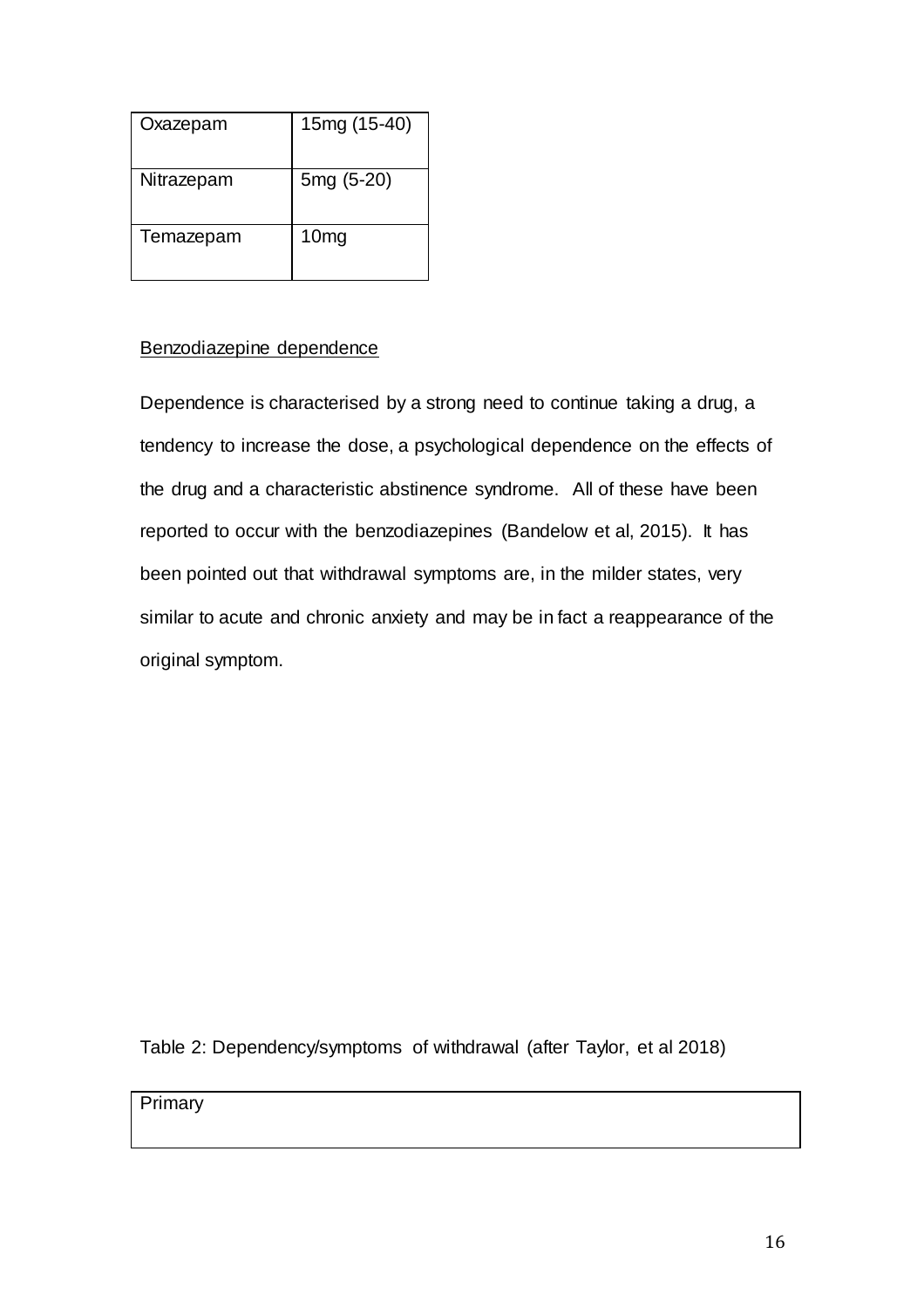| Oxazepam   | 15mg (15-40)     |
|------------|------------------|
| Nitrazepam | 5mg (5-20)       |
| Temazepam  | 10 <sub>mg</sub> |

## Benzodiazepine dependence

Dependence is characterised by a strong need to continue taking a drug, a tendency to increase the dose, a psychological dependence on the effects of the drug and a characteristic abstinence syndrome. All of these have been reported to occur with the benzodiazepines (Bandelow et al, 2015). It has been pointed out that withdrawal symptoms are, in the milder states, very similar to acute and chronic anxiety and may be in fact a reappearance of the original symptom.

Table 2: Dependency/symptoms of withdrawal (after Taylor, et al 2018)

Primary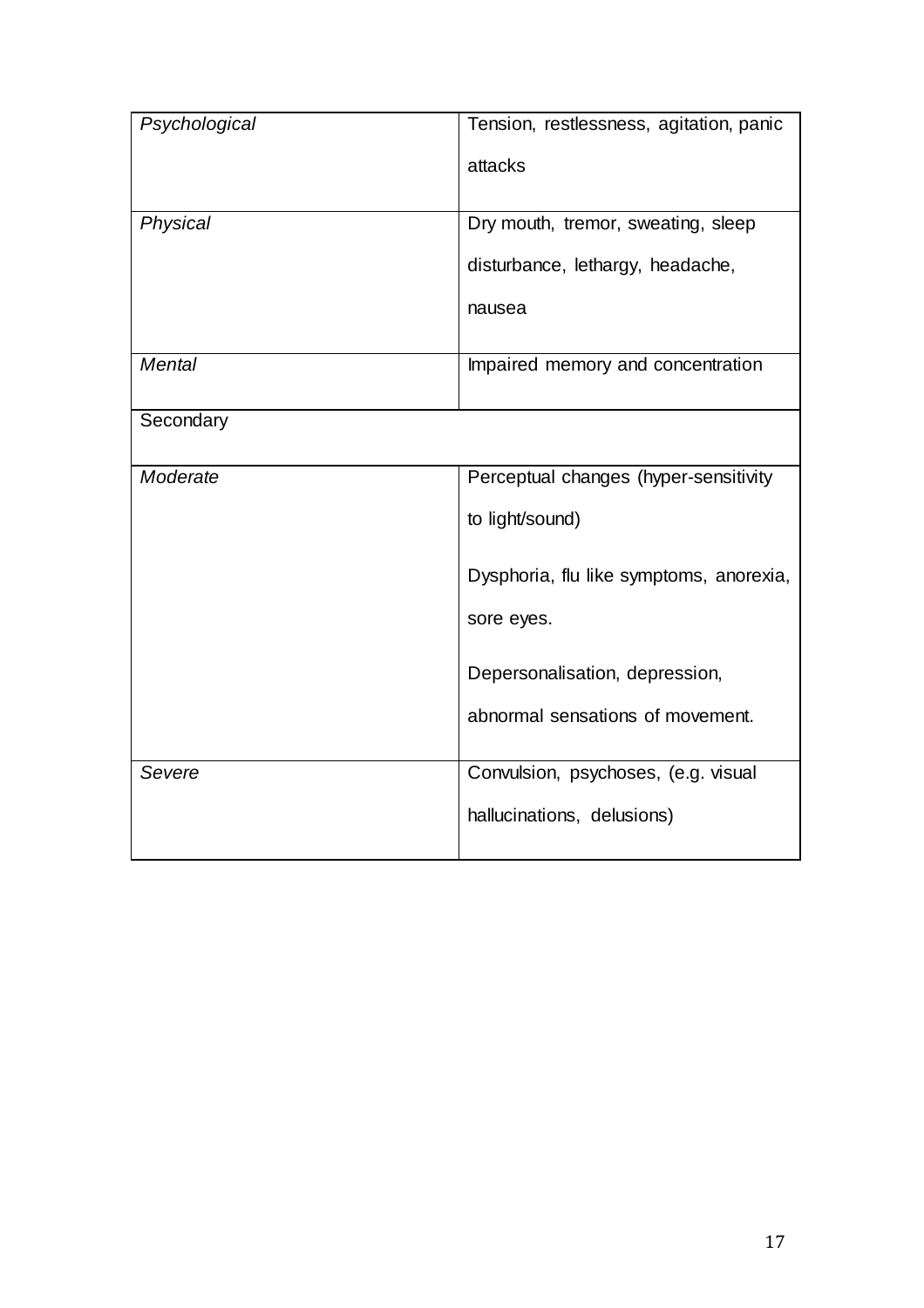| Psychological | Tension, restlessness, agitation, panic |  |
|---------------|-----------------------------------------|--|
|               | attacks                                 |  |
| Physical      | Dry mouth, tremor, sweating, sleep      |  |
|               | disturbance, lethargy, headache,        |  |
|               | nausea                                  |  |
| <b>Mental</b> | Impaired memory and concentration       |  |
| Secondary     |                                         |  |
| Moderate      | Perceptual changes (hyper-sensitivity   |  |
|               | to light/sound)                         |  |
|               | Dysphoria, flu like symptoms, anorexia, |  |
|               | sore eyes.                              |  |
|               | Depersonalisation, depression,          |  |
|               | abnormal sensations of movement.        |  |
| Severe        | Convulsion, psychoses, (e.g. visual     |  |
|               | hallucinations, delusions)              |  |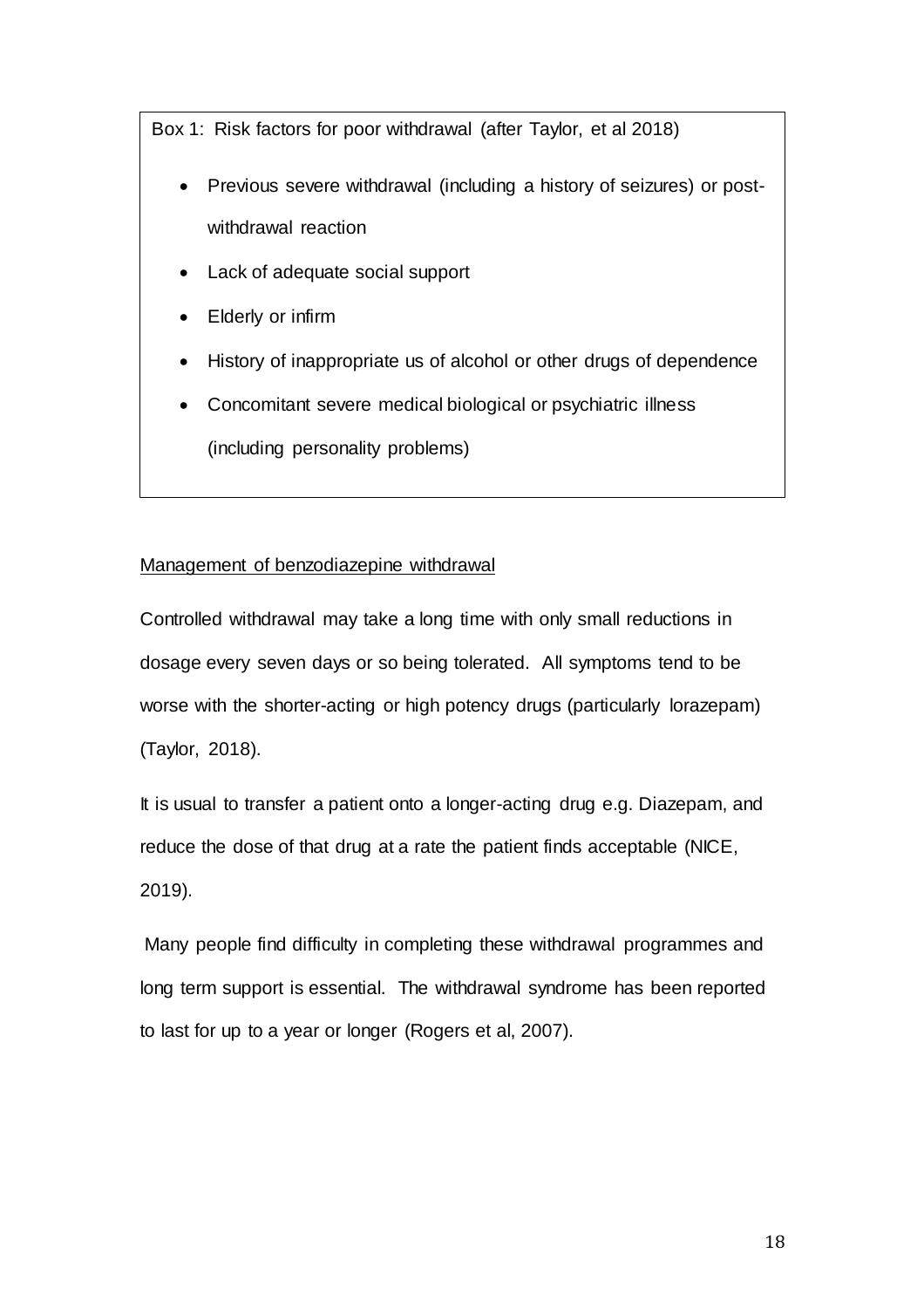Box 1: Risk factors for poor withdrawal (after Taylor, et al 2018)

- Previous severe withdrawal (including a history of seizures) or postwithdrawal reaction
- Lack of adequate social support
- Elderly or infirm
- History of inappropriate us of alcohol or other drugs of dependence
- Concomitant severe medical biological or psychiatric illness (including personality problems)

## Management of benzodiazepine withdrawal

Controlled withdrawal may take a long time with only small reductions in dosage every seven days or so being tolerated. All symptoms tend to be worse with the shorter-acting or high potency drugs (particularly lorazepam) (Taylor, 2018).

It is usual to transfer a patient onto a longer-acting drug e.g. Diazepam, and reduce the dose of that drug at a rate the patient finds acceptable (NICE, 2019).

Many people find difficulty in completing these withdrawal programmes and long term support is essential. The withdrawal syndrome has been reported to last for up to a year or longer (Rogers et al, 2007).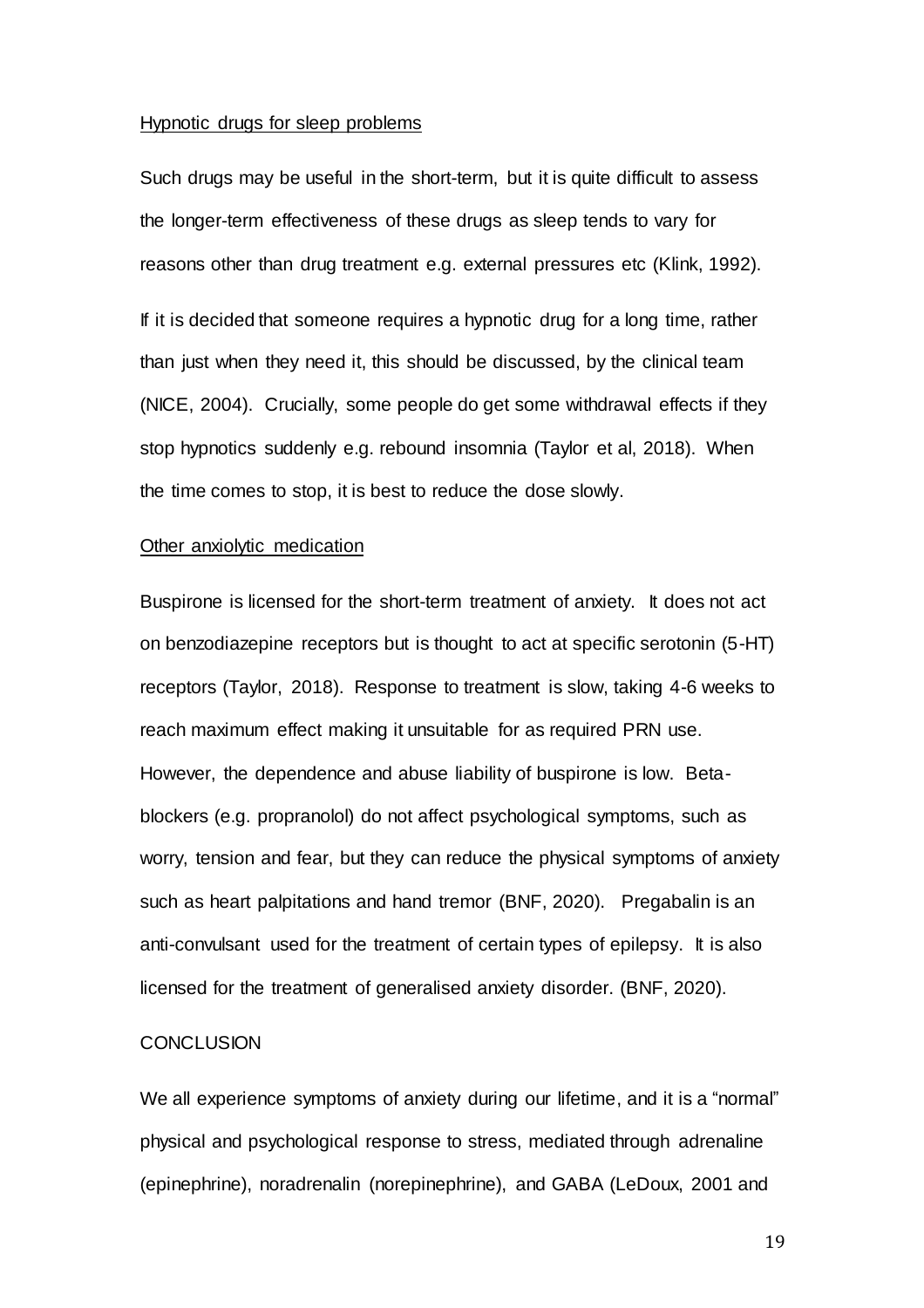#### Hypnotic drugs for sleep problems

Such drugs may be useful in the short-term, but it is quite difficult to assess the longer-term effectiveness of these drugs as sleep tends to vary for reasons other than drug treatment e.g. external pressures etc (Klink, 1992). If it is decided that someone requires a hypnotic drug for a long time, rather than just when they need it, this should be discussed, by the clinical team (NICE, 2004). Crucially, some people do get some withdrawal effects if they stop hypnotics suddenly e.g. rebound insomnia (Taylor et al, 2018). When the time comes to stop, it is best to reduce the dose slowly.

#### Other anxiolytic medication

Buspirone is licensed for the short-term treatment of anxiety. It does not act on benzodiazepine receptors but is thought to act at specific serotonin (5-HT) receptors (Taylor, 2018). Response to treatment is slow, taking 4-6 weeks to reach maximum effect making it unsuitable for as required PRN use. However, the dependence and abuse liability of buspirone is low. Betablockers (e.g. propranolol) do not affect psychological symptoms, such as worry, tension and fear, but they can reduce the physical symptoms of anxiety such as heart palpitations and hand tremor (BNF, 2020). Pregabalin is an anti-convulsant used for the treatment of certain types of epilepsy. It is also licensed for the treatment of generalised anxiety disorder. (BNF, 2020).

#### **CONCLUSION**

We all experience symptoms of anxiety during our lifetime, and it is a "normal" physical and psychological response to stress, mediated through adrenaline (epinephrine), noradrenalin (norepinephrine), and GABA (LeDoux, 2001 and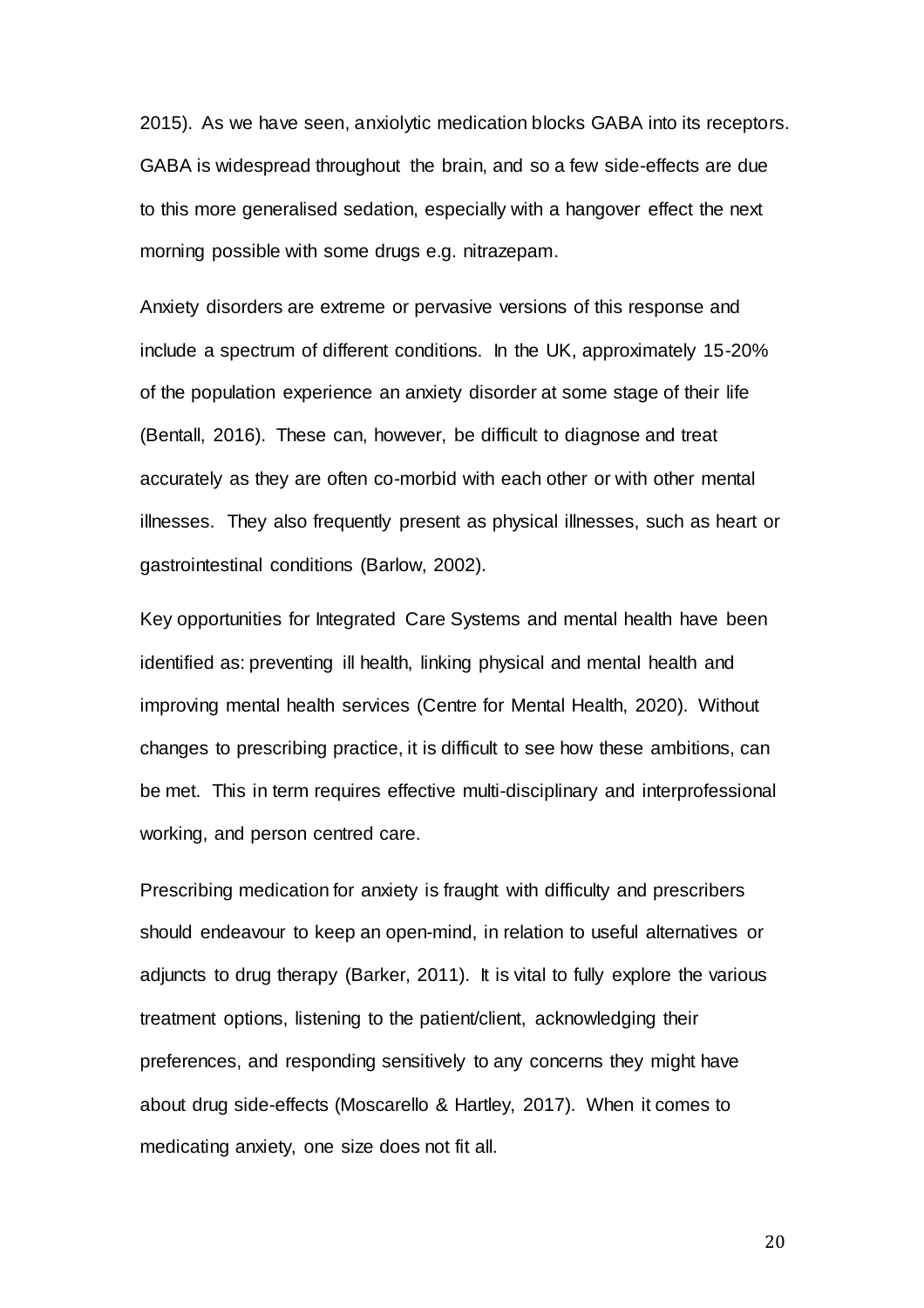2015). As we have seen, anxiolytic medication blocks GABA into its receptors. GABA is widespread throughout the brain, and so a few side-effects are due to this more generalised sedation, especially with a hangover effect the next morning possible with some drugs e.g. nitrazepam.

Anxiety disorders are extreme or pervasive versions of this response and include a spectrum of different conditions. In the UK, approximately 15-20% of the population experience an anxiety disorder at some stage of their life (Bentall, 2016). These can, however, be difficult to diagnose and treat accurately as they are often co-morbid with each other or with other mental illnesses. They also frequently present as physical illnesses, such as heart or gastrointestinal conditions (Barlow, 2002).

Key opportunities for Integrated Care Systems and mental health have been identified as: preventing ill health, linking physical and mental health and improving mental health services (Centre for Mental Health, 2020). Without changes to prescribing practice, it is difficult to see how these ambitions, can be met. This in term requires effective multi-disciplinary and interprofessional working, and person centred care.

Prescribing medication for anxiety is fraught with difficulty and prescribers should endeavour to keep an open-mind, in relation to useful alternatives or adjuncts to drug therapy (Barker, 2011). It is vital to fully explore the various treatment options, listening to the patient/client, acknowledging their preferences, and responding sensitively to any concerns they might have about drug side-effects (Moscarello & Hartley, 2017). When it comes to medicating anxiety, one size does not fit all.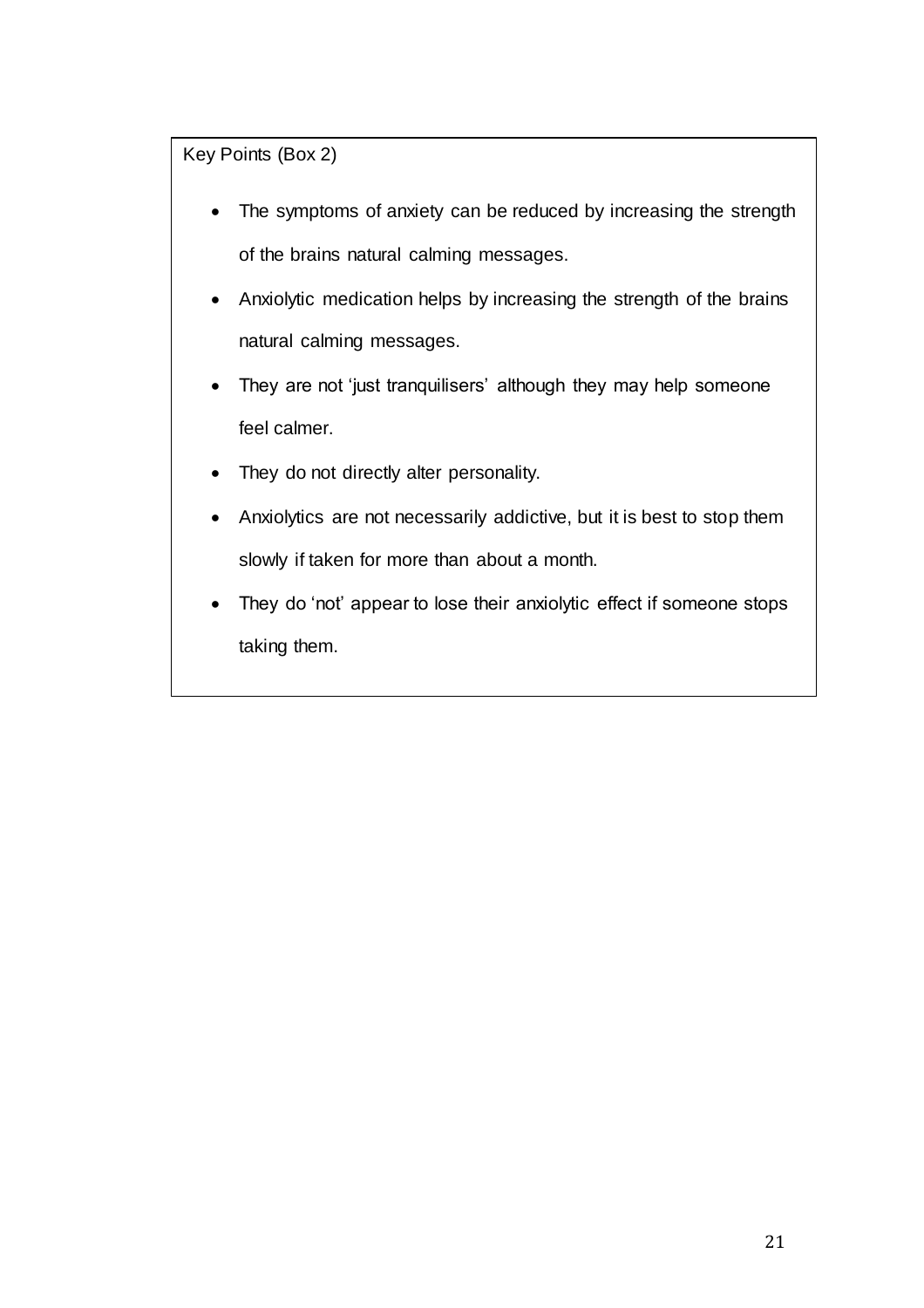Key Points (Box 2)

- The symptoms of anxiety can be reduced by increasing the strength of the brains natural calming messages.
- Anxiolytic medication helps by increasing the strength of the brains natural calming messages.
- They are not 'just tranquilisers' although they may help someone feel calmer.
- They do not directly alter personality.
- Anxiolytics are not necessarily addictive, but it is best to stop them slowly if taken for more than about a month.
- They do 'not' appear to lose their anxiolytic effect if someone stops taking them.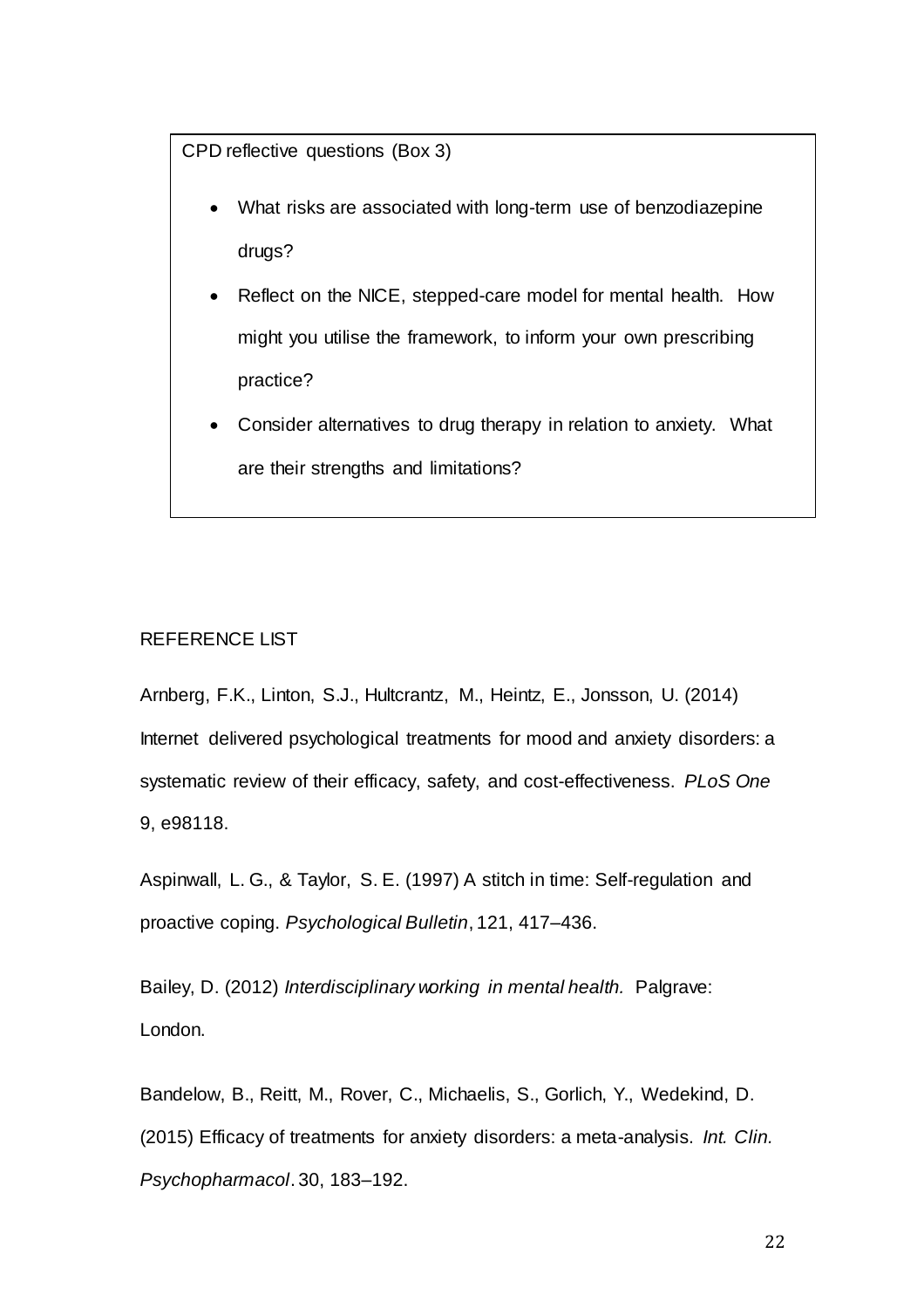CPD reflective questions (Box 3)

- What risks are associated with long-term use of benzodiazepine drugs?
- Reflect on the NICE, stepped-care model for mental health. How might you utilise the framework, to inform your own prescribing practice?
- Consider alternatives to drug therapy in relation to anxiety. What are their strengths and limitations?

## REFERENCE LIST

Arnberg, F.K., Linton, S.J., Hultcrantz, M., Heintz, E., Jonsson, U. (2014) Internet delivered psychological treatments for mood and anxiety disorders: a systematic review of their efficacy, safety, and cost-effectiveness. *PLoS One* 9, e98118.

Aspinwall, L. G., & Taylor, S. E. (1997) A stitch in time: Self-regulation and proactive coping. *Psychological Bulletin*, 121, 417–436.

Bailey, D. (2012) *Interdisciplinary working in mental health.* Palgrave: London.

Bandelow, B., Reitt, M., Rover, C., Michaelis, S., Gorlich, Y., Wedekind, D. (2015) Efficacy of treatments for anxiety disorders: a meta-analysis. *Int. Clin. Psychopharmacol*. 30, 183–192.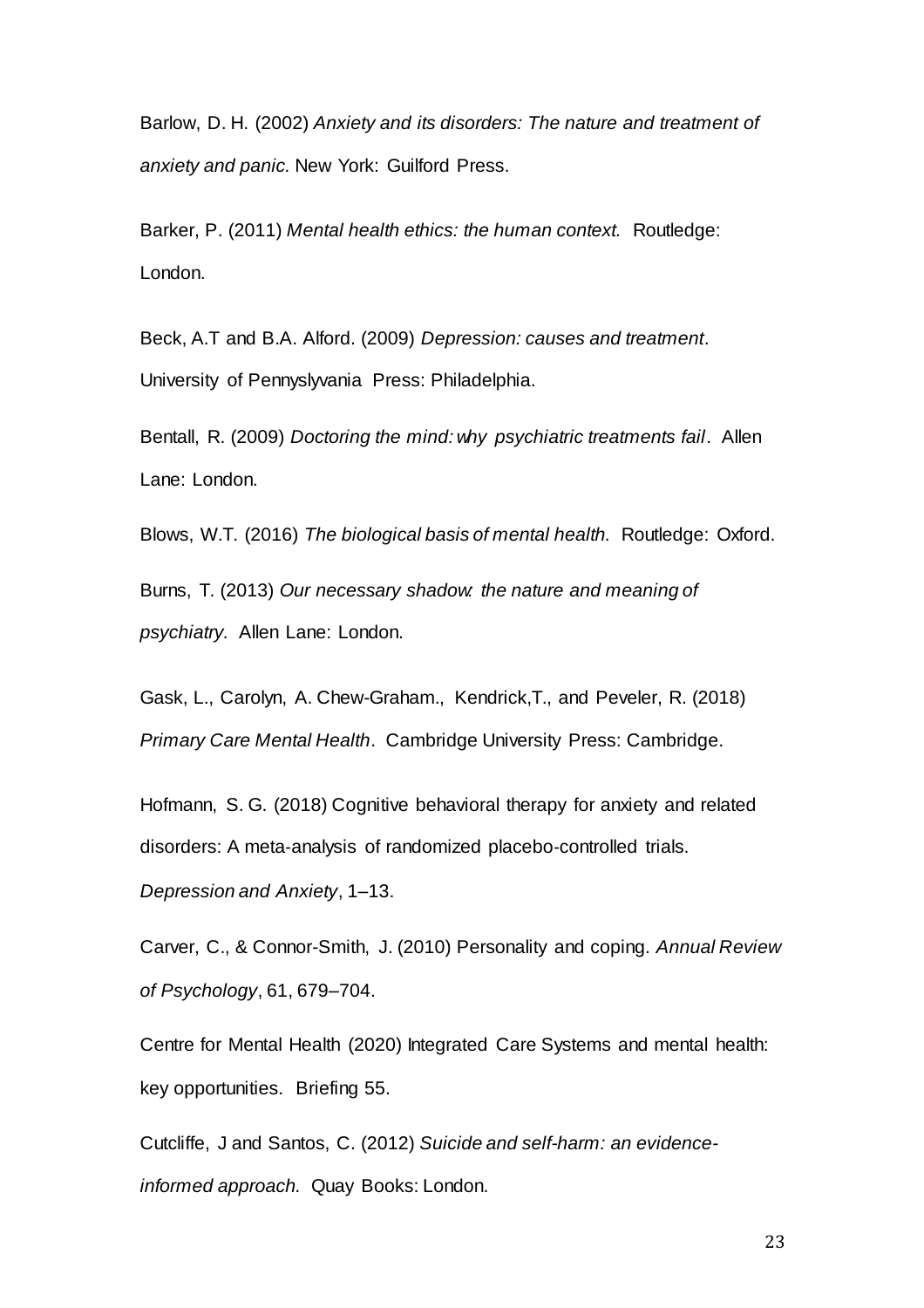Barlow, D. H. (2002) *Anxiety and its disorders: The nature and treatment of anxiety and panic.* New York: Guilford Press.

Barker, P. (2011) *Mental health ethics: the human context.* Routledge: London.

Beck, A.T and B.A. Alford. (2009) *Depression: causes and treatment*. University of Pennyslyvania Press: Philadelphia.

Bentall, R. (2009) *Doctoring the mind: why psychiatric treatments fail*. Allen Lane: London.

Blows, W.T. (2016) *The biological basis of mental health.* Routledge: Oxford.

Burns, T. (2013) *Our necessary shadow: the nature and meaning of psychiatry.* Allen Lane: London.

Gask, L., Carolyn, A. Chew-Graham., Kendrick,T., and Peveler, R. (2018) *Primary Care Mental Health*. Cambridge University Press: Cambridge.

Hofmann, S. G. (2018) Cognitive behavioral therapy for anxiety and related disorders: A meta‐analysis of randomized placebo‐controlled trials.

*Depression and Anxiety*, 1–13.

Carver, C., & Connor-Smith, J. (2010) Personality and coping. *Annual Review of Psychology*, 61, 679–704.

Centre for Mental Health (2020) Integrated Care Systems and mental health: key opportunities. Briefing 55.

Cutcliffe, J and Santos, C. (2012) *Suicide and self-harm: an evidenceinformed approach.* Quay Books: London.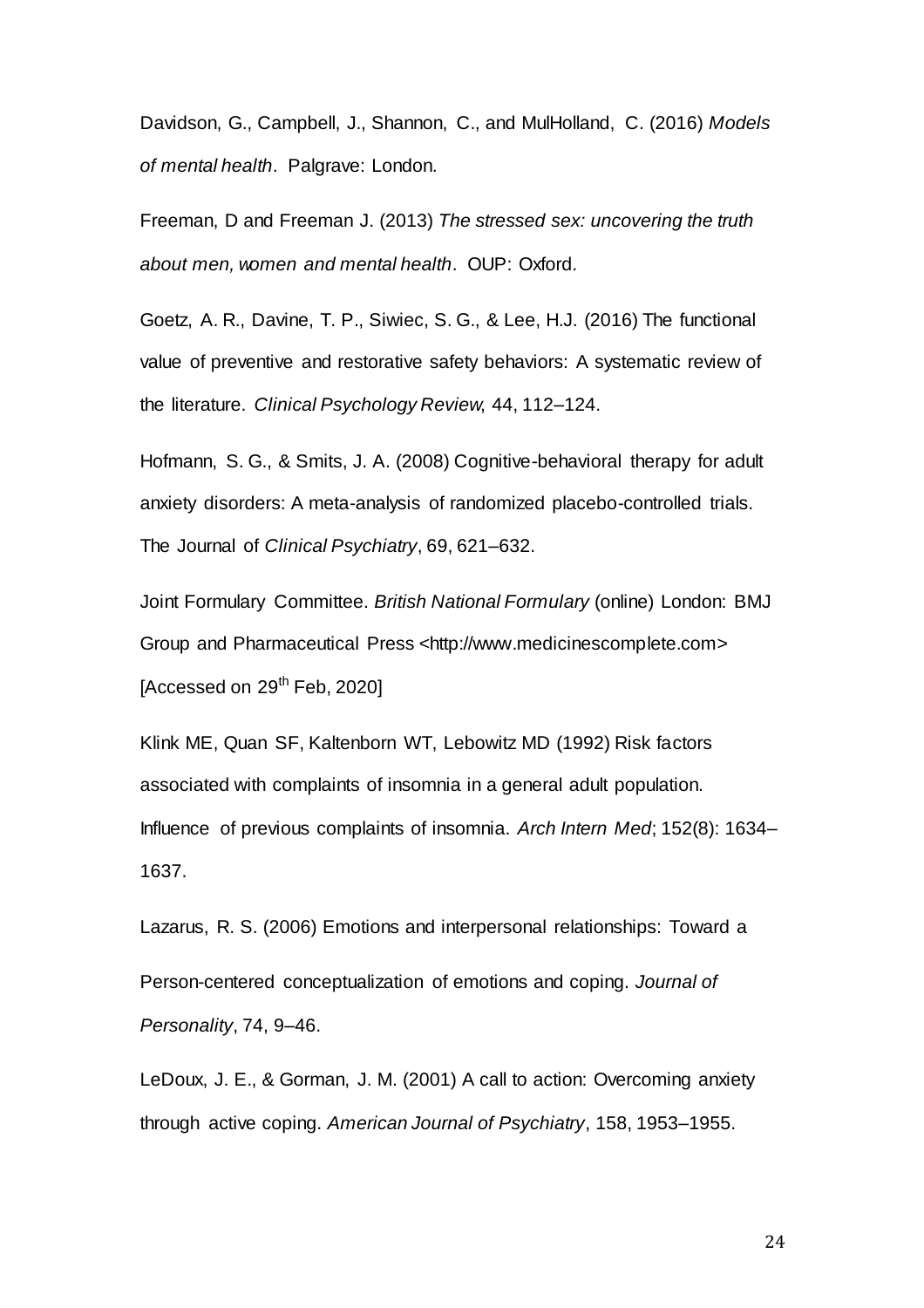Davidson, G., Campbell, J., Shannon, C., and MulHolland, C. (2016) *Models of mental health*. Palgrave: London.

Freeman, D and Freeman J. (2013) *The stressed sex: uncovering the truth about men, women and mental health*. OUP: Oxford.

Goetz, A. R., Davine, T. P., Siwiec, S. G., & Lee, H.J. (2016) The functional value of preventive and restorative safety behaviors: A systematic review of the literature. *Clinical Psychology Review*, 44, 112–124.

Hofmann, S. G., & Smits, J. A. (2008) Cognitive-behavioral therapy for adult anxiety disorders: A meta-analysis of randomized placebo-controlled trials. The Journal of *Clinical Psychiatry*, 69, 621–632.

Joint Formulary Committee. *British National Formulary* (online) London: BMJ Group and Pharmaceutical Press <http://www.medicinescomplete.com> [Accessed on  $29^{th}$  Feb, 2020]

Klink ME, Quan SF, Kaltenborn WT, Lebowitz MD (1992) Risk factors associated with complaints of insomnia in a general adult population. Influence of previous complaints of insomnia. *Arch Intern Med*; 152(8): 1634– 1637.

Lazarus, R. S. (2006) Emotions and interpersonal relationships: Toward a Person-centered conceptualization of emotions and coping. *Journal of Personality*, 74, 9–46.

LeDoux, J. E., & Gorman, J. M. (2001) A call to action: Overcoming anxiety through active coping. *American Journal of Psychiatry*, 158, 1953–1955.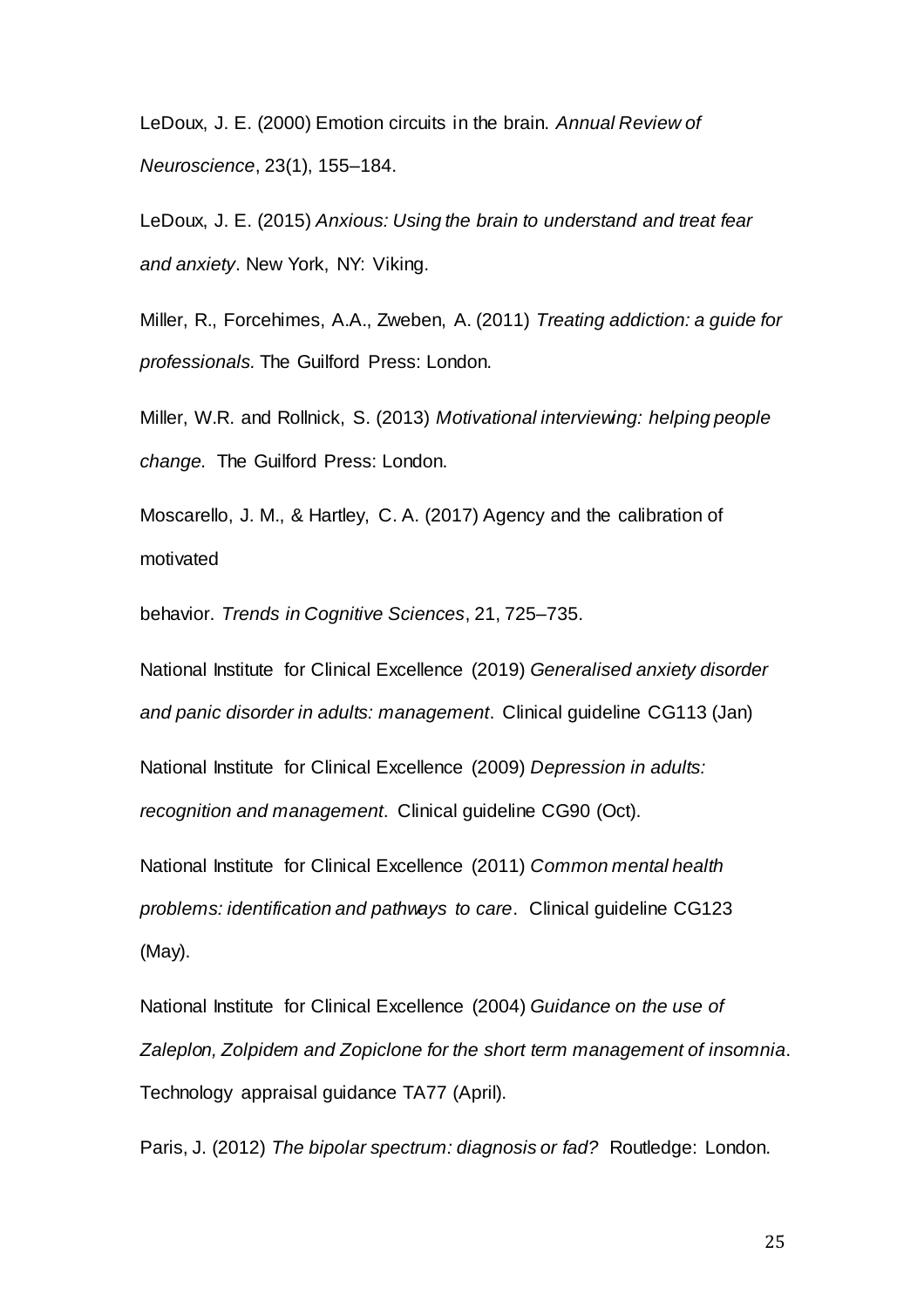LeDoux, J. E. (2000) Emotion circuits in the brain. *Annual Review of Neuroscience*, 23(1), 155–184.

LeDoux, J. E. (2015) *Anxious: Using the brain to understand and treat fear and anxiety*. New York, NY: Viking.

Miller, R., Forcehimes, A.A., Zweben, A. (2011) *Treating addiction: a guide for professionals.* The Guilford Press: London.

Miller, W.R. and Rollnick, S. (2013) *Motivational interviewing: helping people change.* The Guilford Press: London.

Moscarello, J. M., & Hartley, C. A. (2017) Agency and the calibration of motivated

behavior. *Trends in Cognitive Sciences*, 21, 725–735.

National Institute for Clinical Excellence (2019) *Generalised anxiety disorder and panic disorder in adults: management*. Clinical guideline CG113 (Jan)

National Institute for Clinical Excellence (2009) *Depression in adults: recognition and management*. Clinical guideline CG90 (Oct).

National Institute for Clinical Excellence (2011) *Common mental health problems: identification and pathways to care*. Clinical guideline CG123 (May).

National Institute for Clinical Excellence (2004) *Guidance on the use of Zaleplon, Zolpidem and Zopiclone for the short term management of insomnia*. Technology appraisal guidance TA77 (April).

Paris, J. (2012) *The bipolar spectrum: diagnosis or fad?* Routledge: London.